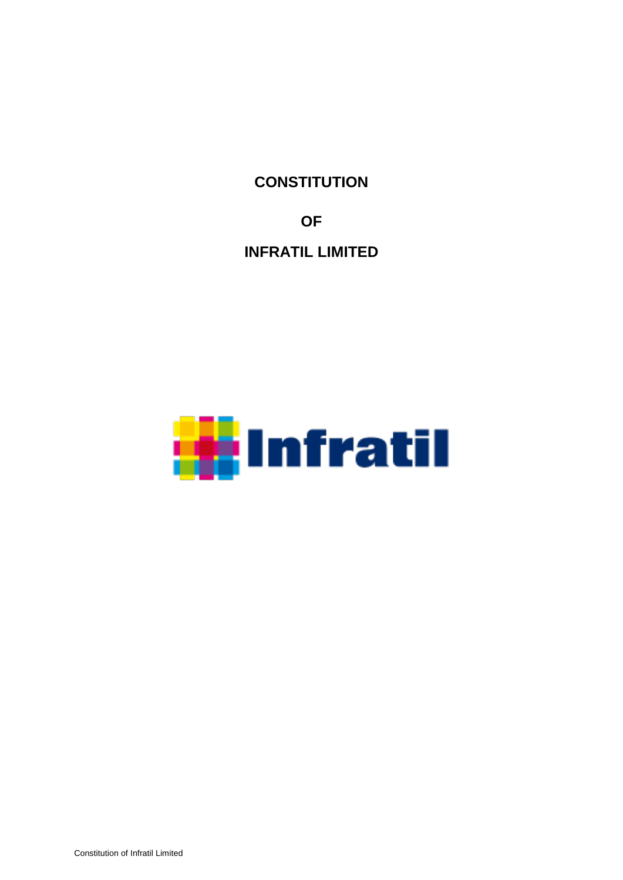**CONSTITUTION**

**OF**

**INFRATIL LIMITED**

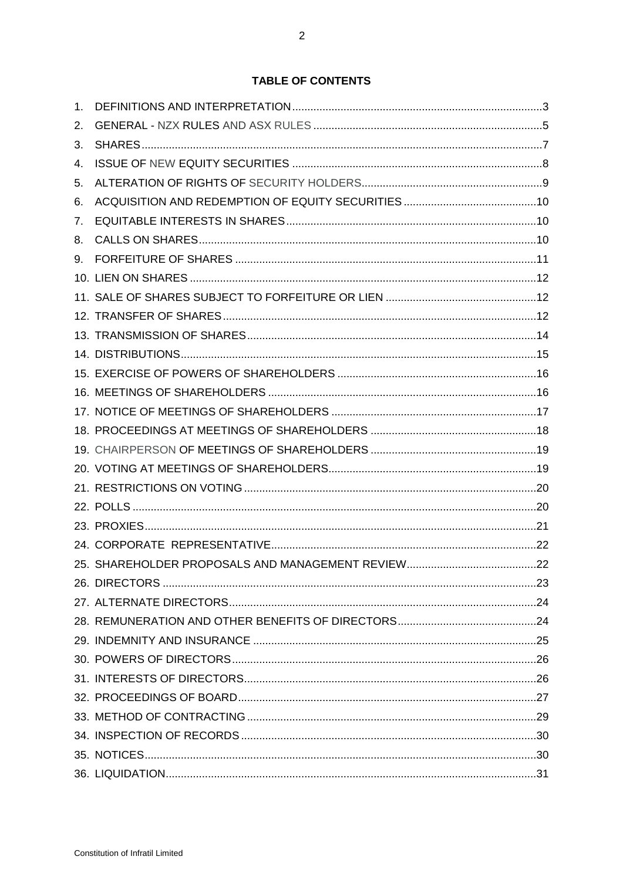| 1. |  |
|----|--|
| 2. |  |
| 3. |  |
| 4. |  |
| 5. |  |
| 6. |  |
| 7. |  |
| 8. |  |
| 9. |  |
|    |  |
|    |  |
|    |  |
|    |  |
|    |  |
|    |  |
|    |  |
|    |  |
|    |  |
|    |  |
|    |  |
|    |  |
|    |  |
|    |  |
|    |  |
|    |  |
|    |  |
|    |  |
|    |  |
|    |  |
|    |  |
|    |  |
|    |  |
|    |  |
|    |  |
|    |  |
|    |  |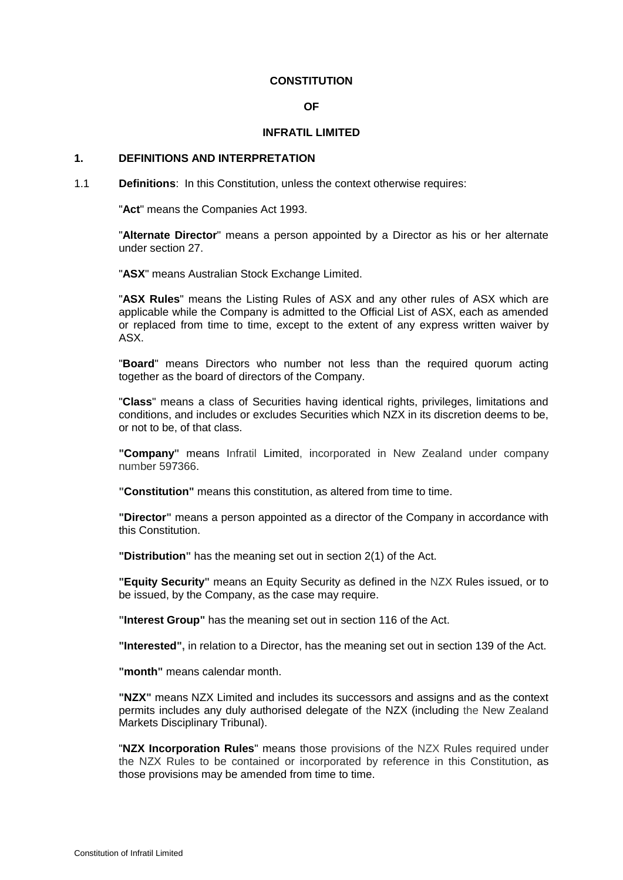### **CONSTITUTION**

#### **OF**

#### **INFRATIL LIMITED**

# **1. DEFINITIONS AND INTERPRETATION**

<span id="page-2-0"></span>1.1 **Definitions**: In this Constitution, unless the context otherwise requires:

"**Act**" means the Companies Act 1993.

"**Alternate Director**" means a person appointed by a Director as his or her alternate under section [27.](#page-23-0)

"**ASX**" means Australian Stock Exchange Limited.

"**ASX Rules**" means the Listing Rules of ASX and any other rules of ASX which are applicable while the Company is admitted to the Official List of ASX, each as amended or replaced from time to time, except to the extent of any express written waiver by ASX.

"**Board**" means Directors who number not less than the required quorum acting together as the board of directors of the Company.

"**Class**" means a class of Securities having identical rights, privileges, limitations and conditions, and includes or excludes Securities which NZX in its discretion deems to be, or not to be, of that class.

**"Company"** means Infratil Limited, incorporated in New Zealand under company number 597366.

**"Constitution"** means this constitution, as altered from time to time.

**"Director"** means a person appointed as a director of the Company in accordance with this Constitution.

**"Distribution"** has the meaning set out in section 2(1) of the Act.

**"Equity Security"** means an Equity Security as defined in the NZX Rules issued, or to be issued, by the Company, as the case may require.

**"Interest Group"** has the meaning set out in section 116 of the Act.

**"Interested",** in relation to a Director, has the meaning set out in section 139 of the Act.

**"month"** means calendar month.

**"NZX"** means NZX Limited and includes its successors and assigns and as the context permits includes any duly authorised delegate of the NZX (including the New Zealand Markets Disciplinary Tribunal).

"**NZX Incorporation Rules**" means those provisions of the NZX Rules required under the NZX Rules to be contained or incorporated by reference in this Constitution, as those provisions may be amended from time to time.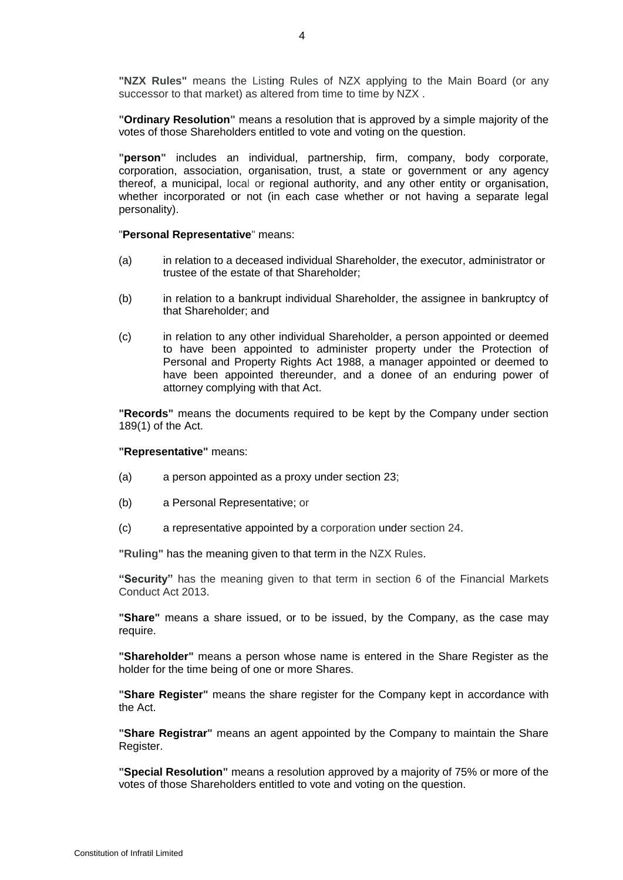**"NZX Rules"** means the Listing Rules of NZX applying to the Main Board (or any successor to that market) as altered from time to time by NZX .

**"Ordinary Resolution"** means a resolution that is approved by a simple majority of the votes of those Shareholders entitled to vote and voting on the question.

**"person"** includes an individual, partnership, firm, company, body corporate, corporation, association, organisation, trust, a state or government or any agency thereof, a municipal, local or regional authority, and any other entity or organisation, whether incorporated or not (in each case whether or not having a separate legal personality).

### "**Personal Representative**" means:

- (a) in relation to a deceased individual Shareholder, the executor, administrator or trustee of the estate of that Shareholder;
- (b) in relation to a bankrupt individual Shareholder, the assignee in bankruptcy of that Shareholder; and
- (c) in relation to any other individual Shareholder, a person appointed or deemed to have been appointed to administer property under the Protection of Personal and Property Rights Act 1988, a manager appointed or deemed to have been appointed thereunder, and a donee of an enduring power of attorney complying with that Act.

**"Records"** means the documents required to be kept by the Company under section 189(1) of the Act.

**"Representative"** means:

- (a) a person appointed as a proxy under section [23;](#page-20-0)
- (b) a Personal Representative; or
- (c) a representative appointed by a corporation under section [24.](#page-21-0)

**"Ruling"** has the meaning given to that term in the NZX Rules.

**"Security"** has the meaning given to that term in section 6 of the Financial Markets Conduct Act 2013.

**"Share"** means a share issued, or to be issued, by the Company, as the case may require.

**"Shareholder"** means a person whose name is entered in the Share Register as the holder for the time being of one or more Shares.

**"Share Register"** means the share register for the Company kept in accordance with the Act.

**"Share Registrar"** means an agent appointed by the Company to maintain the Share Register.

**"Special Resolution"** means a resolution approved by a majority of 75% or more of the votes of those Shareholders entitled to vote and voting on the question.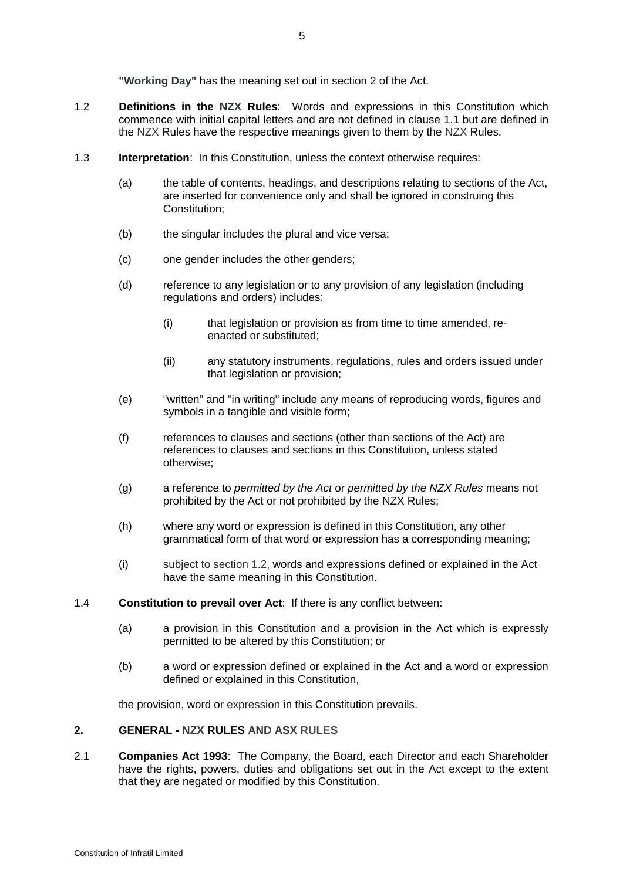**"Working Day"** has the meaning set out in section 2 of the Act.

- <span id="page-4-0"></span>1.2 **Definitions in the NZX Rules**: Words and expressions in this Constitution which commence with initial capital letters and are not defined in clause [1.1](#page-2-0) but are defined in the NZX Rules have the respective meanings given to them by the NZX Rules.
- 1.3 **Interpretation**: In this Constitution, unless the context otherwise requires:
	- (a) the table of contents, headings, and descriptions relating to sections of the Act, are inserted for convenience only and shall be ignored in construing this Constitution;
	- (b) the singular includes the plural and vice versa;
	- (c) one gender includes the other genders;
	- (d) reference to any legislation or to any provision of any legislation (including regulations and orders) includes:
		- (i) that legislation or provision as from time to time amended, reenacted or substituted;
		- (ii) any statutory instruments, regulations, rules and orders issued under that legislation or provision;
	- (e) "written" and "in writing" include any means of reproducing words, figures and symbols in a tangible and visible form;
	- (f) references to clauses and sections (other than sections of the Act) are references to clauses and sections in this Constitution, unless stated otherwise;
	- (g) a reference to *permitted by the Act* or *permitted by the NZX Rules* means not prohibited by the Act or not prohibited by the NZX Rules;
	- (h) where any word or expression is defined in this Constitution, any other grammatical form of that word or expression has a corresponding meaning;
	- (i) subject to section [1.2,](#page-4-0) words and expressions defined or explained in the Act have the same meaning in this Constitution.
- 1.4 **Constitution to prevail over Act**: If there is any conflict between:
	- (a) a provision in this Constitution and a provision in the Act which is expressly permitted to be altered by this Constitution; or
	- (b) a word or expression defined or explained in the Act and a word or expression defined or explained in this Constitution,

the provision, word or expression in this Constitution prevails.

#### **2. GENERAL - NZX RULES AND ASX RULES**

2.1 **Companies Act 1993**: The Company, the Board, each Director and each Shareholder have the rights, powers, duties and obligations set out in the Act except to the extent that they are negated or modified by this Constitution.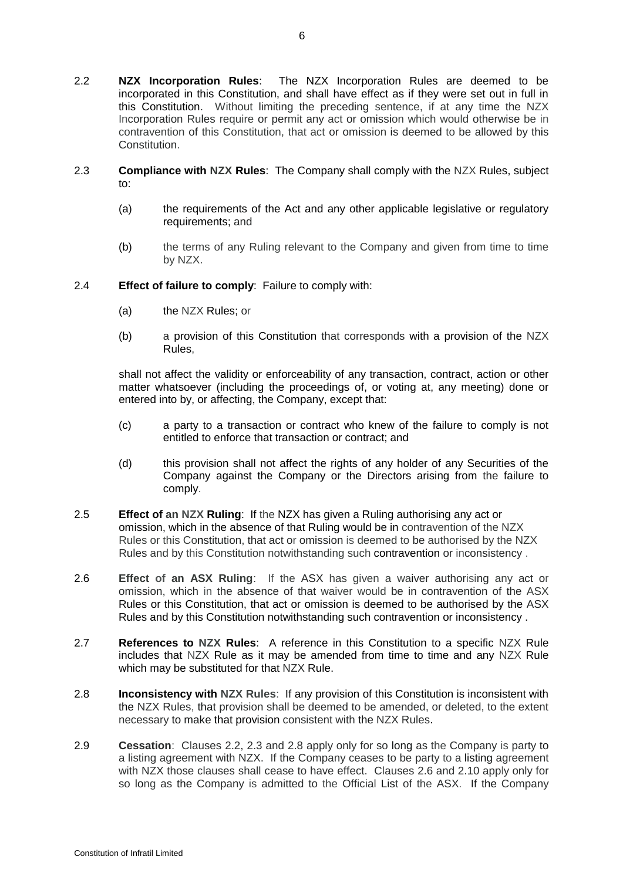- <span id="page-5-0"></span>2.2 **NZX Incorporation Rules**: The NZX Incorporation Rules are deemed to be incorporated in this Constitution, and shall have effect as if they were set out in full in this Constitution. Without limiting the preceding sentence, if at any time the NZX Incorporation Rules require or permit any act or omission which would otherwise be in contravention of this Constitution, that act or omission is deemed to be allowed by this Constitution.
- <span id="page-5-1"></span>2.3 **Compliance with NZX Rules**: The Company shall comply with the NZX Rules, subject to:
	- (a) the requirements of the Act and any other applicable legislative or regulatory requirements; and
	- (b) the terms of any Ruling relevant to the Company and given from time to time by NZX.
- 2.4 **Effect of failure to comply**: Failure to comply with:
	- (a) the NZX Rules; or
	- (b) a provision of this Constitution that corresponds with a provision of the NZX Rules,

shall not affect the validity or enforceability of any transaction, contract, action or other matter whatsoever (including the proceedings of, or voting at, any meeting) done or entered into by, or affecting, the Company, except that:

- (c) a party to a transaction or contract who knew of the failure to comply is not entitled to enforce that transaction or contract; and
- (d) this provision shall not affect the rights of any holder of any Securities of the Company against the Company or the Directors arising from the failure to comply.
- 2.5 **Effect of an NZX Ruling**: If the NZX has given a Ruling authorising any act or omission, which in the absence of that Ruling would be in contravention of the NZX Rules or this Constitution, that act or omission is deemed to be authorised by the NZX Rules and by this Constitution notwithstanding such contravention or inconsistency .
- <span id="page-5-3"></span>2.6 **Effect of an ASX Ruling**: If the ASX has given a waiver authorising any act or omission, which in the absence of that waiver would be in contravention of the ASX Rules or this Constitution, that act or omission is deemed to be authorised by the ASX Rules and by this Constitution notwithstanding such contravention or inconsistency .
- 2.7 **References to NZX Rules**: A reference in this Constitution to a specific NZX Rule includes that NZX Rule as it may be amended from time to time and any NZX Rule which may be substituted for that NZX Rule.
- <span id="page-5-2"></span>2.8 **Inconsistency with NZX Rules**: If any provision of this Constitution is inconsistent with the NZX Rules, that provision shall be deemed to be amended, or deleted, to the extent necessary to make that provision consistent with the NZX Rules.
- 2.9 **Cessation**: Clauses [2.2,](#page-5-0) [2.3](#page-5-1) and [2.8](#page-5-2) apply only for so long as the Company is party to a listing agreement with NZX. If the Company ceases to be party to a listing agreement with NZX those clauses shall cease to have effect. Clauses [2.6](#page-5-3) and [2.10](#page-6-0) apply only for so long as the Company is admitted to the Official List of the ASX. If the Company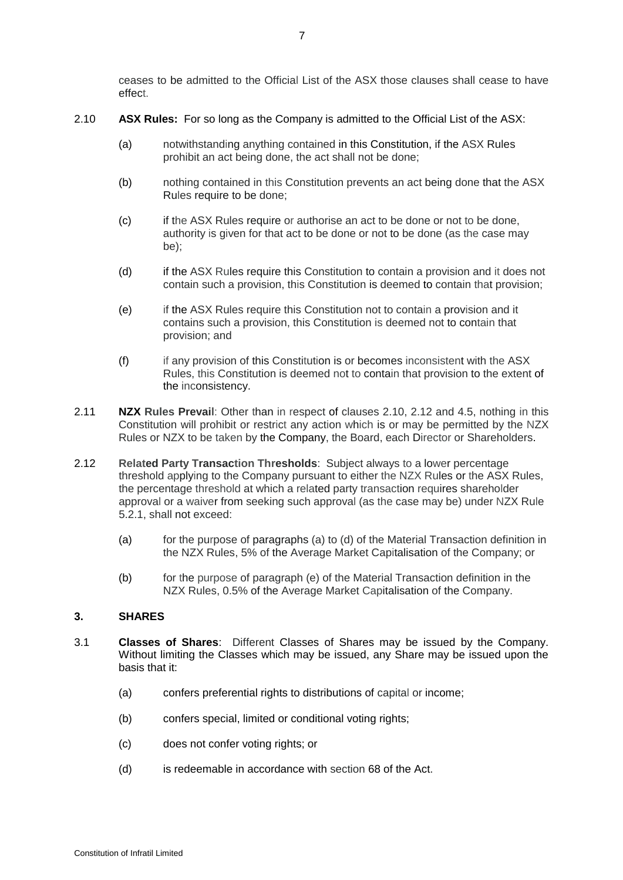ceases to be admitted to the Official List of the ASX those clauses shall cease to have effect.

- <span id="page-6-0"></span>2.10 **ASX Rules:** For so long as the Company is admitted to the Official List of the ASX:
	- (a) notwithstanding anything contained in this Constitution, if the ASX Rules prohibit an act being done, the act shall not be done;
	- (b) nothing contained in this Constitution prevents an act being done that the ASX Rules require to be done;
	- (c) if the ASX Rules require or authorise an act to be done or not to be done, authority is given for that act to be done or not to be done (as the case may be);
	- (d) if the ASX Rules require this Constitution to contain a provision and it does not contain such a provision, this Constitution is deemed to contain that provision;
	- (e) if the ASX Rules require this Constitution not to contain a provision and it contains such a provision, this Constitution is deemed not to contain that provision; and
	- (f) if any provision of this Constitution is or becomes inconsistent with the ASX Rules, this Constitution is deemed not to contain that provision to the extent of the inconsistency.
- <span id="page-6-2"></span>2.11 **NZX Rules Prevail**: Other than in respect of clauses [2.10,](#page-6-0) [2.12](#page-6-1) and [4.5,](#page-7-0) nothing in this Constitution will prohibit or restrict any action which is or may be permitted by the NZX Rules or NZX to be taken by the Company, the Board, each Director or Shareholders.
- <span id="page-6-1"></span>2.12 **Related Party Transaction Thresholds**: Subject always to a lower percentage threshold applying to the Company pursuant to either the NZX Rules or the ASX Rules, the percentage threshold at which a related party transaction requires shareholder approval or a waiver from seeking such approval (as the case may be) under NZX Rule 5.2.1, shall not exceed:
	- (a) for the purpose of paragraphs (a) to (d) of the Material Transaction definition in the NZX Rules, 5% of the Average Market Capitalisation of the Company; or
	- (b) for the purpose of paragraph (e) of the Material Transaction definition in the NZX Rules, 0.5% of the Average Market Capitalisation of the Company.

# **3. SHARES**

- 3.1 **Classes of Shares**: Different Classes of Shares may be issued by the Company. Without limiting the Classes which may be issued, any Share may be issued upon the basis that it:
	- (a) confers preferential rights to distributions of capital or income;
	- (b) confers special, limited or conditional voting rights;
	- (c) does not confer voting rights; or
	- (d) is redeemable in accordance with section 68 of the Act.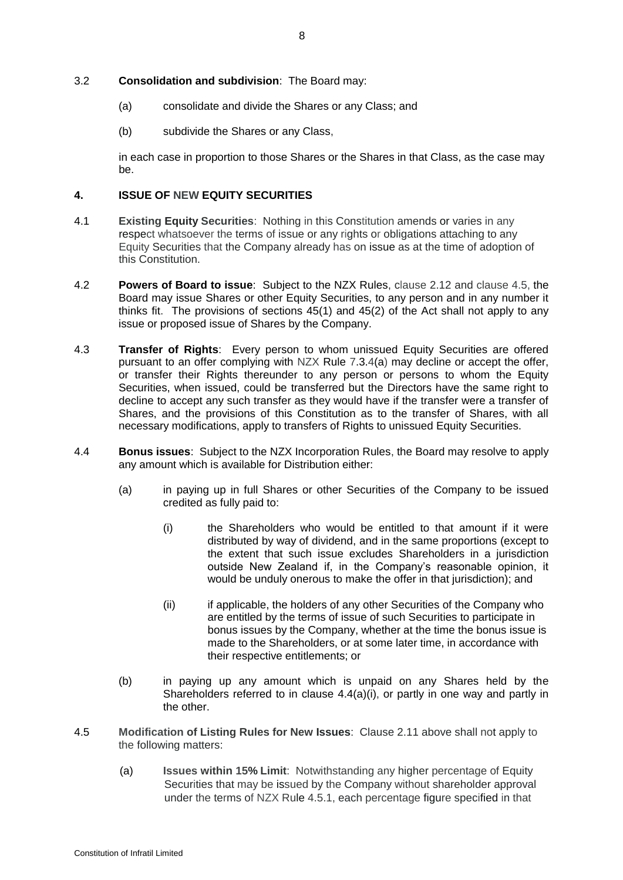- (a) consolidate and divide the Shares or any Class; and
- (b) subdivide the Shares or any Class,

in each case in proportion to those Shares or the Shares in that Class, as the case may be.

# **4. ISSUE OF NEW EQUITY SECURITIES**

- 4.1 **Existing Equity Securities**: Nothing in this Constitution amends or varies in any respect whatsoever the terms of issue or any rights or obligations attaching to any Equity Securities that the Company already has on issue as at the time of adoption of this Constitution.
- 4.2 **Powers of Board to issue**: Subject to the NZX Rules, clause [2.12](#page-6-1) and clause [4.5,](#page-7-0) the Board may issue Shares or other Equity Securities, to any person and in any number it thinks fit. The provisions of sections 45(1) and 45(2) of the Act shall not apply to any issue or proposed issue of Shares by the Company.
- 4.3 **Transfer of Rights**: Every person to whom unissued Equity Securities are offered pursuant to an offer complying with NZX Rule 7.3.4(a) may decline or accept the offer, or transfer their Rights thereunder to any person or persons to whom the Equity Securities, when issued, could be transferred but the Directors have the same right to decline to accept any such transfer as they would have if the transfer were a transfer of Shares, and the provisions of this Constitution as to the transfer of Shares, with all necessary modifications, apply to transfers of Rights to unissued Equity Securities.
- <span id="page-7-1"></span>4.4 **Bonus issues**: Subject to the NZX Incorporation Rules, the Board may resolve to apply any amount which is available for Distribution either:
	- (a) in paying up in full Shares or other Securities of the Company to be issued credited as fully paid to:
		- (i) the Shareholders who would be entitled to that amount if it were distributed by way of dividend, and in the same proportions (except to the extent that such issue excludes Shareholders in a jurisdiction outside New Zealand if, in the Company's reasonable opinion, it would be unduly onerous to make the offer in that jurisdiction); and
		- (ii) if applicable, the holders of any other Securities of the Company who are entitled by the terms of issue of such Securities to participate in bonus issues by the Company, whether at the time the bonus issue is made to the Shareholders, or at some later time, in accordance with their respective entitlements; or
	- (b) in paying up any amount which is unpaid on any Shares held by the Shareholders referred to in clause [4.4\(a\)\(i\),](#page-7-1) or partly in one way and partly in the other.
- <span id="page-7-0"></span>4.5 **Modification of Listing Rules for New Issues**: Clause [2.11](#page-6-2) above shall not apply to the following matters:
	- (a) **Issues within 15% Limit**: Notwithstanding any higher percentage of Equity Securities that may be issued by the Company without shareholder approval under the terms of NZX Rule 4.5.1, each percentage figure specified in that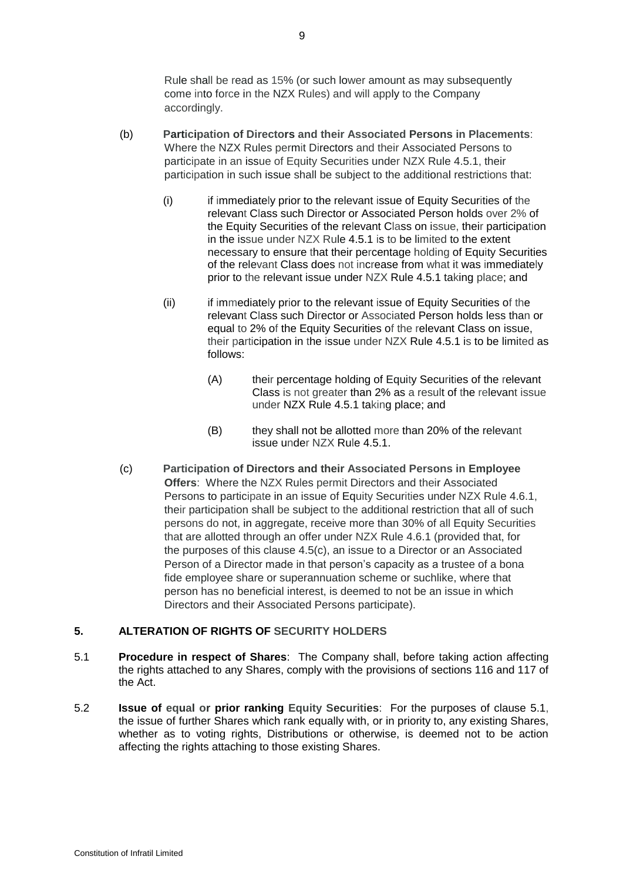Rule shall be read as 15% (or such lower amount as may subsequently come into force in the NZX Rules) and will apply to the Company accordingly.

- (b) **Participation of Directors and their Associated Persons in Placements**: Where the NZX Rules permit Directors and their Associated Persons to participate in an issue of Equity Securities under NZX Rule 4.5.1, their participation in such issue shall be subject to the additional restrictions that:
	- (i) if immediately prior to the relevant issue of Equity Securities of the relevant Class such Director or Associated Person holds over 2% of the Equity Securities of the relevant Class on issue, their participation in the issue under NZX Rule 4.5.1 is to be limited to the extent necessary to ensure that their percentage holding of Equity Securities of the relevant Class does not increase from what it was immediately prior to the relevant issue under NZX Rule 4.5.1 taking place; and
	- (ii) if immediately prior to the relevant issue of Equity Securities of the relevant Class such Director or Associated Person holds less than or equal to 2% of the Equity Securities of the relevant Class on issue, their participation in the issue under NZX Rule 4.5.1 is to be limited as follows:
		- (A) their percentage holding of Equity Securities of the relevant Class is not greater than 2% as a result of the relevant issue under NZX Rule 4.5.1 taking place; and
		- (B) they shall not be allotted more than 20% of the relevant issue under NZX Rule 4.5.1.
- <span id="page-8-0"></span>(c) **Participation of Directors and their Associated Persons in Employee Offers**: Where the NZX Rules permit Directors and their Associated Persons to participate in an issue of Equity Securities under NZX Rule 4.6.1, their participation shall be subject to the additional restriction that all of such persons do not, in aggregate, receive more than 30% of all Equity Securities that are allotted through an offer under NZX Rule 4.6.1 (provided that, for the purposes of this clause [4.5\(c\),](#page-8-0) an issue to a Director or an Associated Person of a Director made in that person's capacity as a trustee of a bona fide employee share or superannuation scheme or suchlike, where that person has no beneficial interest, is deemed to not be an issue in which Directors and their Associated Persons participate).

# **5. ALTERATION OF RIGHTS OF SECURITY HOLDERS**

- <span id="page-8-1"></span>5.1 **Procedure in respect of Shares**: The Company shall, before taking action affecting the rights attached to any Shares, comply with the provisions of sections 116 and 117 of the Act.
- 5.2 **Issue of equal or prior ranking Equity Securities**: For the purposes of clause [5.1,](#page-8-1) the issue of further Shares which rank equally with, or in priority to, any existing Shares, whether as to voting rights, Distributions or otherwise, is deemed not to be action affecting the rights attaching to those existing Shares.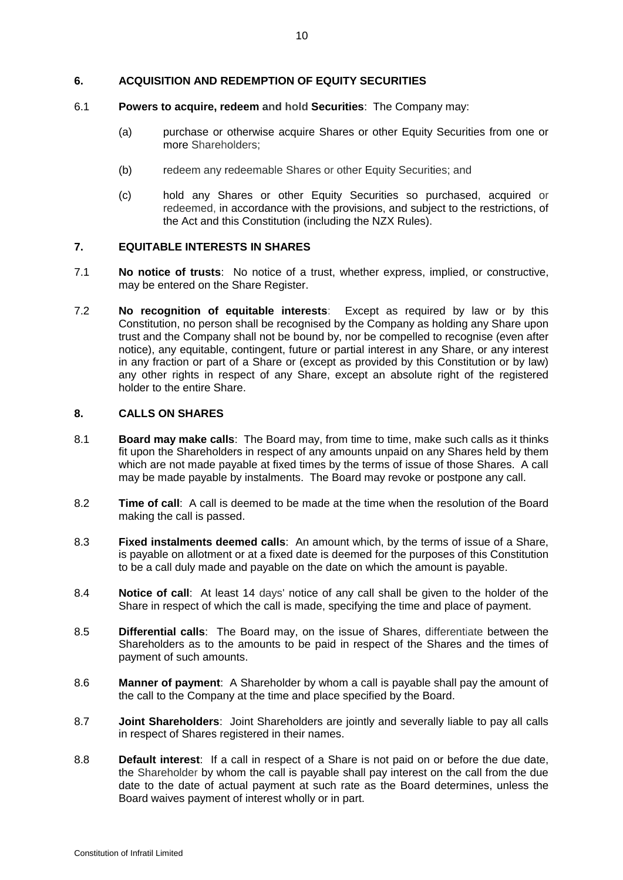# **6. ACQUISITION AND REDEMPTION OF EQUITY SECURITIES**

#### 6.1 **Powers to acquire, redeem and hold Securities**: The Company may:

- (a) purchase or otherwise acquire Shares or other Equity Securities from one or more Shareholders;
- (b) redeem any redeemable Shares or other Equity Securities; and
- (c) hold any Shares or other Equity Securities so purchased, acquired or redeemed, in accordance with the provisions, and subject to the restrictions, of the Act and this Constitution (including the NZX Rules).

# **7. EQUITABLE INTERESTS IN SHARES**

- 7.1 **No notice of trusts**: No notice of a trust, whether express, implied, or constructive, may be entered on the Share Register.
- 7.2 **No recognition of equitable interests**: Except as required by law or by this Constitution, no person shall be recognised by the Company as holding any Share upon trust and the Company shall not be bound by, nor be compelled to recognise (even after notice), any equitable, contingent, future or partial interest in any Share, or any interest in any fraction or part of a Share or (except as provided by this Constitution or by law) any other rights in respect of any Share, except an absolute right of the registered holder to the entire Share.

#### **8. CALLS ON SHARES**

- 8.1 **Board may make calls**: The Board may, from time to time, make such calls as it thinks fit upon the Shareholders in respect of any amounts unpaid on any Shares held by them which are not made payable at fixed times by the terms of issue of those Shares. A call may be made payable by instalments. The Board may revoke or postpone any call.
- 8.2 **Time of call**: A call is deemed to be made at the time when the resolution of the Board making the call is passed.
- 8.3 **Fixed instalments deemed calls**: An amount which, by the terms of issue of a Share, is payable on allotment or at a fixed date is deemed for the purposes of this Constitution to be a call duly made and payable on the date on which the amount is payable.
- 8.4 **Notice of call**: At least 14 days' notice of any call shall be given to the holder of the Share in respect of which the call is made, specifying the time and place of payment.
- 8.5 **Differential calls**: The Board may, on the issue of Shares, differentiate between the Shareholders as to the amounts to be paid in respect of the Shares and the times of payment of such amounts.
- 8.6 **Manner of payment**: A Shareholder by whom a call is payable shall pay the amount of the call to the Company at the time and place specified by the Board.
- 8.7 **Joint Shareholders**: Joint Shareholders are jointly and severally liable to pay all calls in respect of Shares registered in their names.
- 8.8 **Default interest**: If a call in respect of a Share is not paid on or before the due date, the Shareholder by whom the call is payable shall pay interest on the call from the due date to the date of actual payment at such rate as the Board determines, unless the Board waives payment of interest wholly or in part.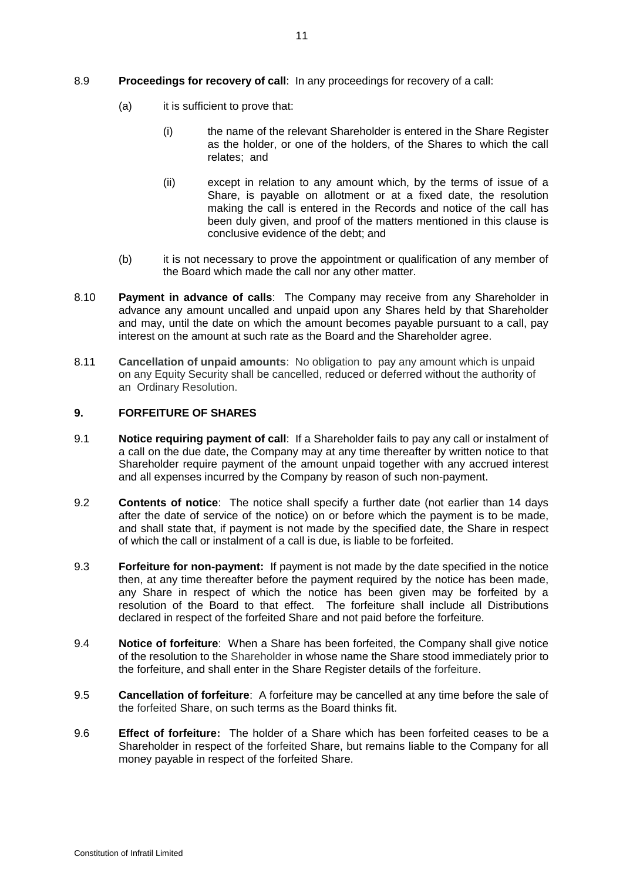- (a) it is sufficient to prove that:
	- (i) the name of the relevant Shareholder is entered in the Share Register as the holder, or one of the holders, of the Shares to which the call relates; and
	- (ii) except in relation to any amount which, by the terms of issue of a Share, is payable on allotment or at a fixed date, the resolution making the call is entered in the Records and notice of the call has been duly given, and proof of the matters mentioned in this clause is conclusive evidence of the debt; and
- (b) it is not necessary to prove the appointment or qualification of any member of the Board which made the call nor any other matter.
- 8.10 **Payment in advance of calls**: The Company may receive from any Shareholder in advance any amount uncalled and unpaid upon any Shares held by that Shareholder and may, until the date on which the amount becomes payable pursuant to a call, pay interest on the amount at such rate as the Board and the Shareholder agree.
- 8.11 **Cancellation of unpaid amounts**: No obligation to pay any amount which is unpaid on any Equity Security shall be cancelled, reduced or deferred without the authority of an Ordinary Resolution.

### **9. FORFEITURE OF SHARES**

- 9.1 **Notice requiring payment of call**: If a Shareholder fails to pay any call or instalment of a call on the due date, the Company may at any time thereafter by written notice to that Shareholder require payment of the amount unpaid together with any accrued interest and all expenses incurred by the Company by reason of such non-payment.
- 9.2 **Contents of notice**: The notice shall specify a further date (not earlier than 14 days after the date of service of the notice) on or before which the payment is to be made, and shall state that, if payment is not made by the specified date, the Share in respect of which the call or instalment of a call is due, is liable to be forfeited.
- 9.3 **Forfeiture for non-payment:** If payment is not made by the date specified in the notice then, at any time thereafter before the payment required by the notice has been made, any Share in respect of which the notice has been given may be forfeited by a resolution of the Board to that effect. The forfeiture shall include all Distributions declared in respect of the forfeited Share and not paid before the forfeiture.
- 9.4 **Notice of forfeiture**: When a Share has been forfeited, the Company shall give notice of the resolution to the Shareholder in whose name the Share stood immediately prior to the forfeiture, and shall enter in the Share Register details of the forfeiture.
- 9.5 **Cancellation of forfeiture**: A forfeiture may be cancelled at any time before the sale of the forfeited Share, on such terms as the Board thinks fit.
- 9.6 **Effect of forfeiture:** The holder of a Share which has been forfeited ceases to be a Shareholder in respect of the forfeited Share, but remains liable to the Company for all money payable in respect of the forfeited Share.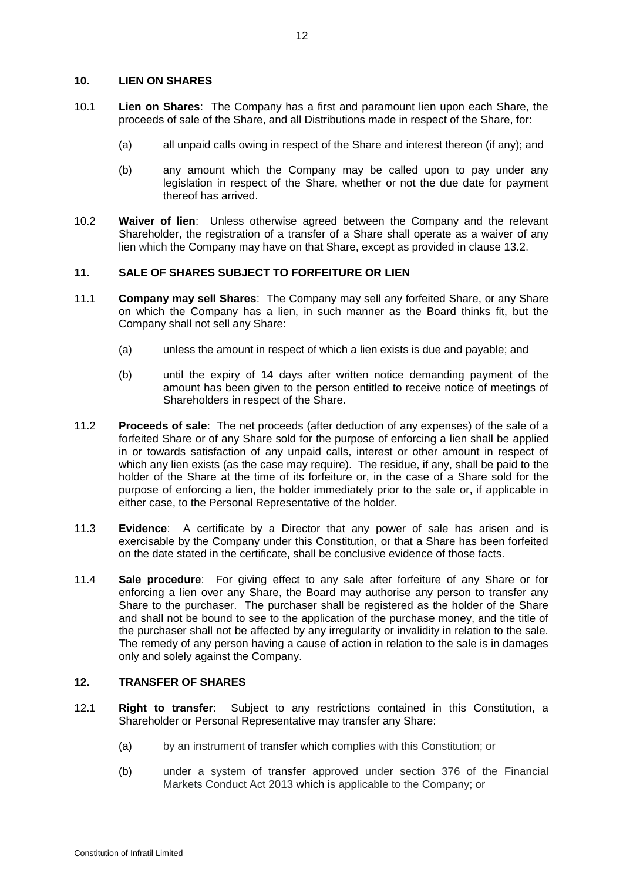# **10. LIEN ON SHARES**

- 10.1 **Lien on Shares**: The Company has a first and paramount lien upon each Share, the proceeds of sale of the Share, and all Distributions made in respect of the Share, for:
	- (a) all unpaid calls owing in respect of the Share and interest thereon (if any); and
	- (b) any amount which the Company may be called upon to pay under any legislation in respect of the Share, whether or not the due date for payment thereof has arrived.
- 10.2 **Waiver of lien**: Unless otherwise agreed between the Company and the relevant Shareholder, the registration of a transfer of a Share shall operate as a waiver of any lien which the Company may have on that Share, except as provided in clause [13.2.](#page-13-0)

# **11. SALE OF SHARES SUBJECT TO FORFEITURE OR LIEN**

- 11.1 **Company may sell Shares**: The Company may sell any forfeited Share, or any Share on which the Company has a lien, in such manner as the Board thinks fit, but the Company shall not sell any Share:
	- (a) unless the amount in respect of which a lien exists is due and payable; and
	- (b) until the expiry of 14 days after written notice demanding payment of the amount has been given to the person entitled to receive notice of meetings of Shareholders in respect of the Share.
- 11.2 **Proceeds of sale**: The net proceeds (after deduction of any expenses) of the sale of a forfeited Share or of any Share sold for the purpose of enforcing a lien shall be applied in or towards satisfaction of any unpaid calls, interest or other amount in respect of which any lien exists (as the case may require). The residue, if any, shall be paid to the holder of the Share at the time of its forfeiture or, in the case of a Share sold for the purpose of enforcing a lien, the holder immediately prior to the sale or, if applicable in either case, to the Personal Representative of the holder.
- 11.3 **Evidence**: A certificate by a Director that any power of sale has arisen and is exercisable by the Company under this Constitution, or that a Share has been forfeited on the date stated in the certificate, shall be conclusive evidence of those facts.
- 11.4 **Sale procedure**: For giving effect to any sale after forfeiture of any Share or for enforcing a lien over any Share, the Board may authorise any person to transfer any Share to the purchaser. The purchaser shall be registered as the holder of the Share and shall not be bound to see to the application of the purchase money, and the title of the purchaser shall not be affected by any irregularity or invalidity in relation to the sale. The remedy of any person having a cause of action in relation to the sale is in damages only and solely against the Company.

# <span id="page-11-1"></span>**12. TRANSFER OF SHARES**

- <span id="page-11-0"></span>12.1 **Right to transfer**: Subject to any restrictions contained in this Constitution, a Shareholder or Personal Representative may transfer any Share:
	- (a) by an instrument of transfer which complies with this Constitution; or
	- (b) under a system of transfer approved under section 376 of the Financial Markets Conduct Act 2013 which is applicable to the Company; or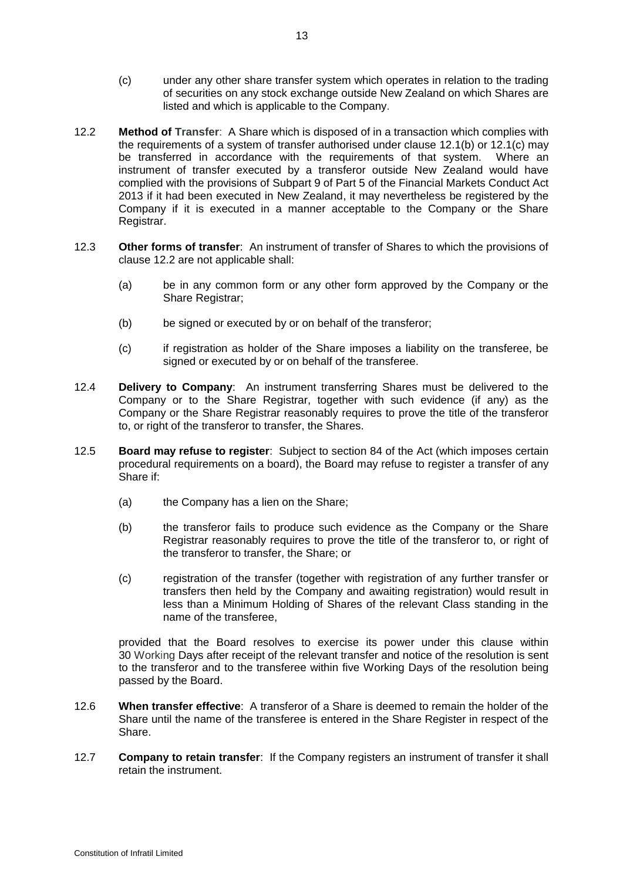- <span id="page-12-0"></span>(c) under any other share transfer system which operates in relation to the trading of securities on any stock exchange outside New Zealand on which Shares are listed and which is applicable to the Company.
- <span id="page-12-1"></span>12.2 **Method of Transfer**: A Share which is disposed of in a transaction which complies with the requirements of a system of transfer authorised under clause [12.1\(b\)](#page-11-0) or [12.1\(c\)](#page-12-0) may be transferred in accordance with the requirements of that system. Where an instrument of transfer executed by a transferor outside New Zealand would have complied with the provisions of Subpart 9 of Part 5 of the Financial Markets Conduct Act 2013 if it had been executed in New Zealand, it may nevertheless be registered by the Company if it is executed in a manner acceptable to the Company or the Share Registrar.
- 12.3 **Other forms of transfer**: An instrument of transfer of Shares to which the provisions of clause [12.2](#page-12-1) are not applicable shall:
	- (a) be in any common form or any other form approved by the Company or the Share Registrar;
	- (b) be signed or executed by or on behalf of the transferor;
	- (c) if registration as holder of the Share imposes a liability on the transferee, be signed or executed by or on behalf of the transferee.
- 12.4 **Delivery to Company**: An instrument transferring Shares must be delivered to the Company or to the Share Registrar, together with such evidence (if any) as the Company or the Share Registrar reasonably requires to prove the title of the transferor to, or right of the transferor to transfer, the Shares.
- 12.5 **Board may refuse to register**: Subject to section 84 of the Act (which imposes certain procedural requirements on a board), the Board may refuse to register a transfer of any Share if:
	- (a) the Company has a lien on the Share;
	- (b) the transferor fails to produce such evidence as the Company or the Share Registrar reasonably requires to prove the title of the transferor to, or right of the transferor to transfer, the Share; or
	- (c) registration of the transfer (together with registration of any further transfer or transfers then held by the Company and awaiting registration) would result in less than a Minimum Holding of Shares of the relevant Class standing in the name of the transferee,

provided that the Board resolves to exercise its power under this clause within 30 Working Days after receipt of the relevant transfer and notice of the resolution is sent to the transferor and to the transferee within five Working Days of the resolution being passed by the Board.

- 12.6 **When transfer effective**: A transferor of a Share is deemed to remain the holder of the Share until the name of the transferee is entered in the Share Register in respect of the Share.
- 12.7 **Company to retain transfer**: If the Company registers an instrument of transfer it shall retain the instrument.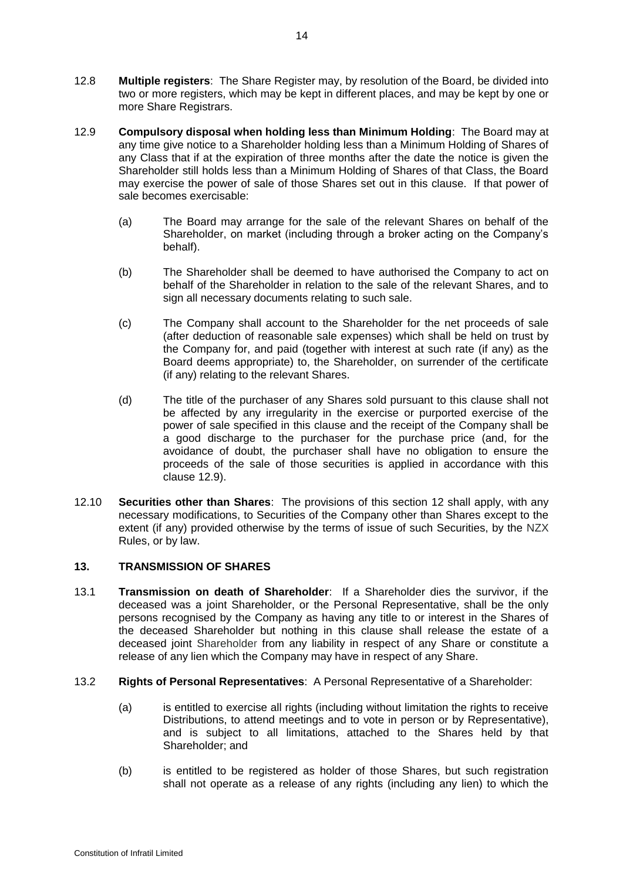- 12.8 **Multiple registers**: The Share Register may, by resolution of the Board, be divided into two or more registers, which may be kept in different places, and may be kept by one or more Share Registrars.
- <span id="page-13-1"></span>12.9 **Compulsory disposal when holding less than Minimum Holding**: The Board may at any time give notice to a Shareholder holding less than a Minimum Holding of Shares of any Class that if at the expiration of three months after the date the notice is given the Shareholder still holds less than a Minimum Holding of Shares of that Class, the Board may exercise the power of sale of those Shares set out in this clause. If that power of sale becomes exercisable:
	- (a) The Board may arrange for the sale of the relevant Shares on behalf of the Shareholder, on market (including through a broker acting on the Company's behalf).
	- (b) The Shareholder shall be deemed to have authorised the Company to act on behalf of the Shareholder in relation to the sale of the relevant Shares, and to sign all necessary documents relating to such sale.
	- (c) The Company shall account to the Shareholder for the net proceeds of sale (after deduction of reasonable sale expenses) which shall be held on trust by the Company for, and paid (together with interest at such rate (if any) as the Board deems appropriate) to, the Shareholder, on surrender of the certificate (if any) relating to the relevant Shares.
	- (d) The title of the purchaser of any Shares sold pursuant to this clause shall not be affected by any irregularity in the exercise or purported exercise of the power of sale specified in this clause and the receipt of the Company shall be a good discharge to the purchaser for the purchase price (and, for the avoidance of doubt, the purchaser shall have no obligation to ensure the proceeds of the sale of those securities is applied in accordance with this clause [12.9\)](#page-13-1).
- 12.10 **Securities other than Shares**: The provisions of this section [12](#page-11-1) shall apply, with any necessary modifications, to Securities of the Company other than Shares except to the extent (if any) provided otherwise by the terms of issue of such Securities, by the NZX Rules, or by law.

# **13. TRANSMISSION OF SHARES**

- 13.1 **Transmission on death of Shareholder**: If a Shareholder dies the survivor, if the deceased was a joint Shareholder, or the Personal Representative, shall be the only persons recognised by the Company as having any title to or interest in the Shares of the deceased Shareholder but nothing in this clause shall release the estate of a deceased joint Shareholder from any liability in respect of any Share or constitute a release of any lien which the Company may have in respect of any Share.
- <span id="page-13-0"></span>13.2 **Rights of Personal Representatives**: A Personal Representative of a Shareholder:
	- (a) is entitled to exercise all rights (including without limitation the rights to receive Distributions, to attend meetings and to vote in person or by Representative), and is subject to all limitations, attached to the Shares held by that Shareholder; and
	- (b) is entitled to be registered as holder of those Shares, but such registration shall not operate as a release of any rights (including any lien) to which the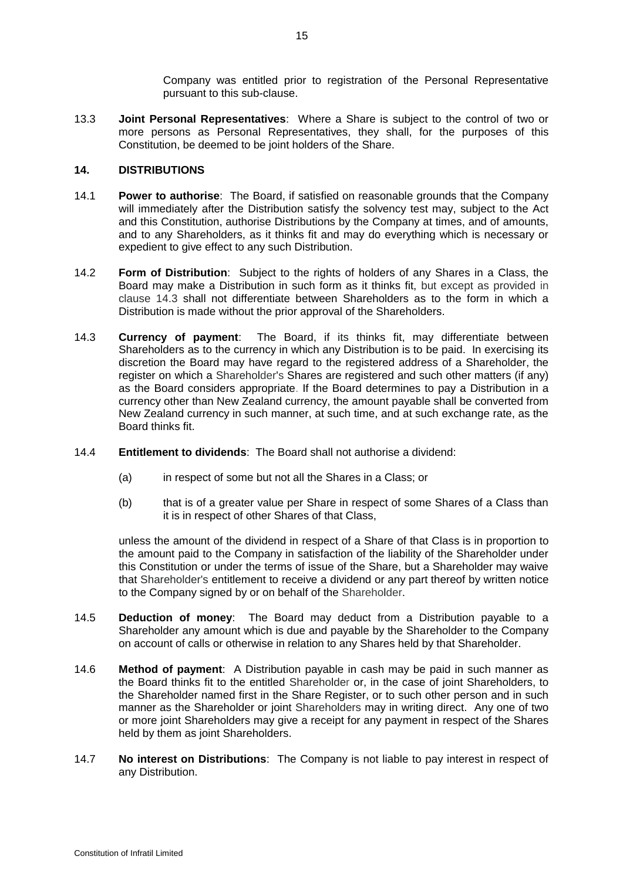Company was entitled prior to registration of the Personal Representative pursuant to this sub-clause.

13.3 **Joint Personal Representatives**: Where a Share is subject to the control of two or more persons as Personal Representatives, they shall, for the purposes of this Constitution, be deemed to be joint holders of the Share.

# **14. DISTRIBUTIONS**

- 14.1 **Power to authorise**: The Board, if satisfied on reasonable grounds that the Company will immediately after the Distribution satisfy the solvency test may, subject to the Act and this Constitution, authorise Distributions by the Company at times, and of amounts, and to any Shareholders, as it thinks fit and may do everything which is necessary or expedient to give effect to any such Distribution.
- 14.2 **Form of Distribution**: Subject to the rights of holders of any Shares in a Class, the Board may make a Distribution in such form as it thinks fit, but except as provided in clause [14.3](#page-14-0) shall not differentiate between Shareholders as to the form in which a Distribution is made without the prior approval of the Shareholders.
- <span id="page-14-0"></span>14.3 **Currency of payment**: The Board, if its thinks fit, may differentiate between Shareholders as to the currency in which any Distribution is to be paid. In exercising its discretion the Board may have regard to the registered address of a Shareholder, the register on which a Shareholder's Shares are registered and such other matters (if any) as the Board considers appropriate. If the Board determines to pay a Distribution in a currency other than New Zealand currency, the amount payable shall be converted from New Zealand currency in such manner, at such time, and at such exchange rate, as the Board thinks fit.
- 14.4 **Entitlement to dividends**: The Board shall not authorise a dividend:
	- (a) in respect of some but not all the Shares in a Class; or
	- (b) that is of a greater value per Share in respect of some Shares of a Class than it is in respect of other Shares of that Class,

unless the amount of the dividend in respect of a Share of that Class is in proportion to the amount paid to the Company in satisfaction of the liability of the Shareholder under this Constitution or under the terms of issue of the Share, but a Shareholder may waive that Shareholder's entitlement to receive a dividend or any part thereof by written notice to the Company signed by or on behalf of the Shareholder.

- 14.5 **Deduction of money**: The Board may deduct from a Distribution payable to a Shareholder any amount which is due and payable by the Shareholder to the Company on account of calls or otherwise in relation to any Shares held by that Shareholder.
- 14.6 **Method of payment**: A Distribution payable in cash may be paid in such manner as the Board thinks fit to the entitled Shareholder or, in the case of joint Shareholders, to the Shareholder named first in the Share Register, or to such other person and in such manner as the Shareholder or joint Shareholders may in writing direct. Any one of two or more joint Shareholders may give a receipt for any payment in respect of the Shares held by them as joint Shareholders.
- 14.7 **No interest on Distributions**: The Company is not liable to pay interest in respect of any Distribution.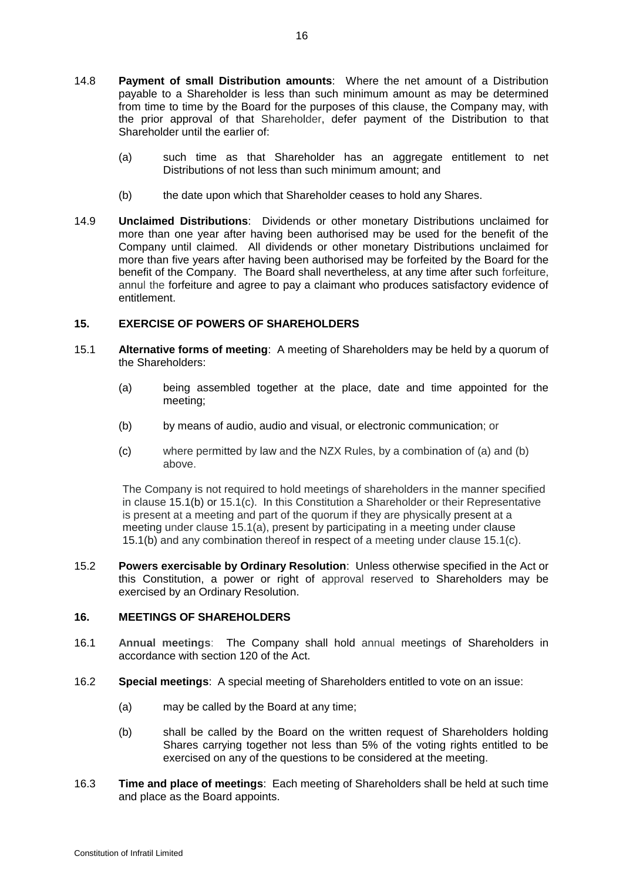- 14.8 **Payment of small Distribution amounts**: Where the net amount of a Distribution payable to a Shareholder is less than such minimum amount as may be determined from time to time by the Board for the purposes of this clause, the Company may, with the prior approval of that Shareholder, defer payment of the Distribution to that Shareholder until the earlier of:
	- (a) such time as that Shareholder has an aggregate entitlement to net Distributions of not less than such minimum amount; and
	- (b) the date upon which that Shareholder ceases to hold any Shares.
- 14.9 **Unclaimed Distributions**: Dividends or other monetary Distributions unclaimed for more than one year after having been authorised may be used for the benefit of the Company until claimed. All dividends or other monetary Distributions unclaimed for more than five years after having been authorised may be forfeited by the Board for the benefit of the Company. The Board shall nevertheless, at any time after such forfeiture, annul the forfeiture and agree to pay a claimant who produces satisfactory evidence of entitlement.

# **15. EXERCISE OF POWERS OF SHAREHOLDERS**

- <span id="page-15-2"></span><span id="page-15-0"></span>15.1 **Alternative forms of meeting**: A meeting of Shareholders may be held by a quorum of the Shareholders:
	- (a) being assembled together at the place, date and time appointed for the meeting;
	- (b) by means of audio, audio and visual, or electronic communication; or
	- (c) where permitted by law and the NZX Rules, by a combination of (a) and (b) above.

<span id="page-15-1"></span>The Company is not required to hold meetings of shareholders in the manner specified in clause [15.1\(b\)](#page-15-0) or [15.1\(c\).](#page-15-1) In this Constitution a Shareholder or their Representative is present at a meeting and part of the quorum if they are physically present at a meeting under clause [15.1\(a\),](#page-15-2) present by participating in a meeting under clause [15.1\(b\)](#page-15-0) and any combination thereof in respect of a meeting under clause [15.1\(c\).](#page-15-1)

15.2 **Powers exercisable by Ordinary Resolution**: Unless otherwise specified in the Act or this Constitution, a power or right of approval reserved to Shareholders may be exercised by an Ordinary Resolution.

# **16. MEETINGS OF SHAREHOLDERS**

- 16.1 **Annual meetings**: The Company shall hold annual meetings of Shareholders in accordance with section 120 of the Act.
- 16.2 **Special meetings**: A special meeting of Shareholders entitled to vote on an issue:
	- (a) may be called by the Board at any time;
	- (b) shall be called by the Board on the written request of Shareholders holding Shares carrying together not less than 5% of the voting rights entitled to be exercised on any of the questions to be considered at the meeting.
- 16.3 **Time and place of meetings**: Each meeting of Shareholders shall be held at such time and place as the Board appoints.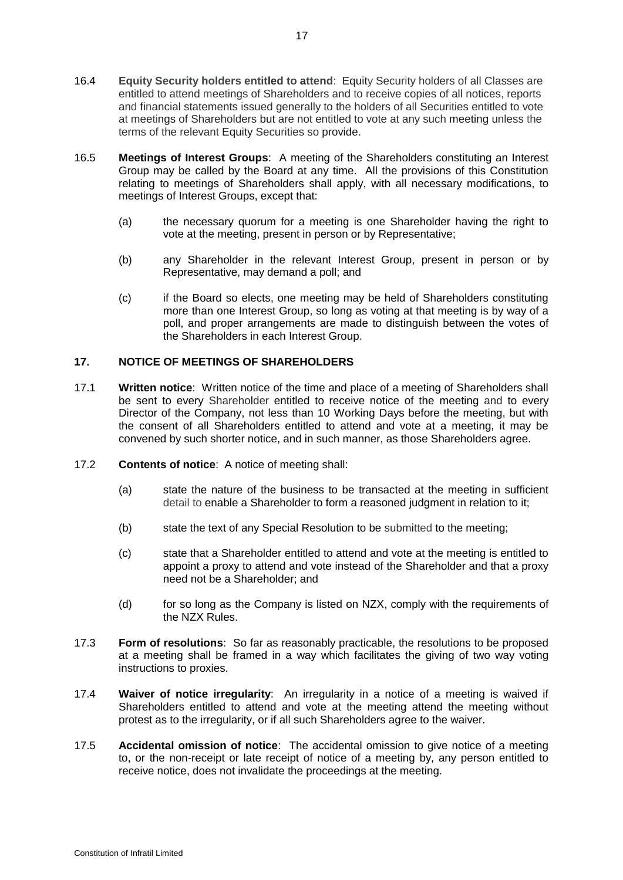- 16.4 **Equity Security holders entitled to attend**: Equity Security holders of all Classes are entitled to attend meetings of Shareholders and to receive copies of all notices, reports and financial statements issued generally to the holders of all Securities entitled to vote at meetings of Shareholders but are not entitled to vote at any such meeting unless the terms of the relevant Equity Securities so provide.
- 16.5 **Meetings of Interest Groups**:A meeting of the Shareholders constituting an Interest Group may be called by the Board at any time. All the provisions of this Constitution relating to meetings of Shareholders shall apply, with all necessary modifications, to meetings of Interest Groups, except that:
	- (a) the necessary quorum for a meeting is one Shareholder having the right to vote at the meeting, present in person or by Representative;
	- (b) any Shareholder in the relevant Interest Group, present in person or by Representative, may demand a poll; and
	- (c) if the Board so elects, one meeting may be held of Shareholders constituting more than one Interest Group, so long as voting at that meeting is by way of a poll, and proper arrangements are made to distinguish between the votes of the Shareholders in each Interest Group.

# **17. NOTICE OF MEETINGS OF SHAREHOLDERS**

- <span id="page-16-0"></span>17.1 **Written notice**: Written notice of the time and place of a meeting of Shareholders shall be sent to every Shareholder entitled to receive notice of the meeting and to every Director of the Company, not less than 10 Working Days before the meeting, but with the consent of all Shareholders entitled to attend and vote at a meeting, it may be convened by such shorter notice, and in such manner, as those Shareholders agree.
- 17.2 **Contents of notice**: A notice of meeting shall:
	- (a) state the nature of the business to be transacted at the meeting in sufficient detail to enable a Shareholder to form a reasoned judgment in relation to it;
	- (b) state the text of any Special Resolution to be submitted to the meeting;
	- (c) state that a Shareholder entitled to attend and vote at the meeting is entitled to appoint a proxy to attend and vote instead of the Shareholder and that a proxy need not be a Shareholder; and
	- (d) for so long as the Company is listed on NZX, comply with the requirements of the NZX Rules.
- 17.3 **Form of resolutions**: So far as reasonably practicable, the resolutions to be proposed at a meeting shall be framed in a way which facilitates the giving of two way voting instructions to proxies.
- 17.4 **Waiver of notice irregularity**: An irregularity in a notice of a meeting is waived if Shareholders entitled to attend and vote at the meeting attend the meeting without protest as to the irregularity, or if all such Shareholders agree to the waiver.
- 17.5 **Accidental omission of notice**: The accidental omission to give notice of a meeting to, or the non-receipt or late receipt of notice of a meeting by, any person entitled to receive notice, does not invalidate the proceedings at the meeting.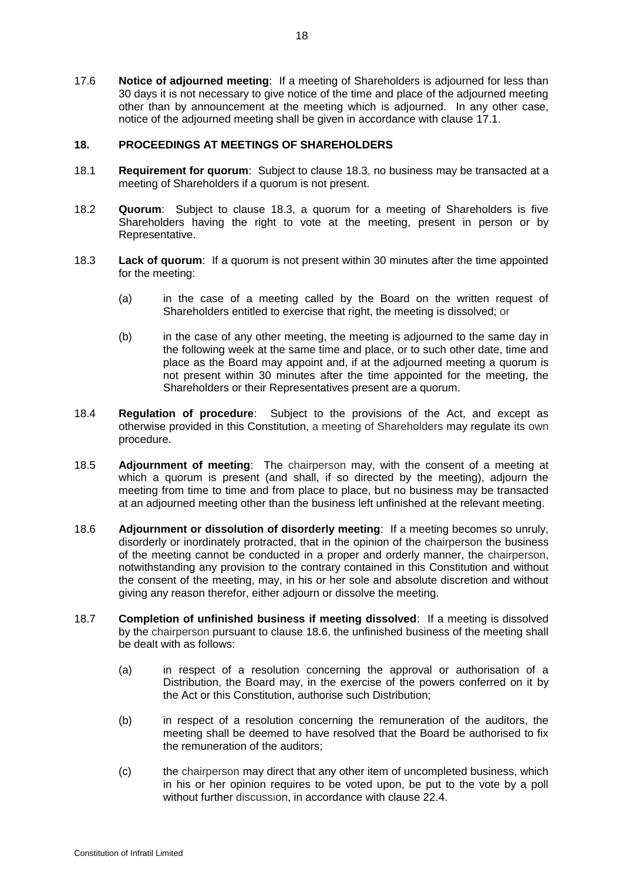17.6 **Notice of adjourned meeting**: If a meeting of Shareholders is adjourned for less than 30 days it is not necessary to give notice of the time and place of the adjourned meeting other than by announcement at the meeting which is adjourned. In any other case, notice of the adjourned meeting shall be given in accordance with clause [17.1.](#page-16-0)

# **18. PROCEEDINGS AT MEETINGS OF SHAREHOLDERS**

- 18.1 **Requirement for quorum**: Subject to clause [18.3,](#page-17-0) no business may be transacted at a meeting of Shareholders if a quorum is not present.
- 18.2 **Quorum**: Subject to clause [18.3,](#page-17-0) a quorum for a meeting of Shareholders is five Shareholders having the right to vote at the meeting, present in person or by Representative.
- <span id="page-17-0"></span>18.3 **Lack of quorum**: If a quorum is not present within 30 minutes after the time appointed for the meeting:
	- (a) in the case of a meeting called by the Board on the written request of Shareholders entitled to exercise that right, the meeting is dissolved; or
	- (b) in the case of any other meeting, the meeting is adjourned to the same day in the following week at the same time and place, or to such other date, time and place as the Board may appoint and, if at the adjourned meeting a quorum is not present within 30 minutes after the time appointed for the meeting, the Shareholders or their Representatives present are a quorum.
- 18.4 **Regulation of procedure**: Subject to the provisions of the Act, and except as otherwise provided in this Constitution, a meeting of Shareholders may regulate its own procedure.
- 18.5 **Adjournment of meeting**: The chairperson may, with the consent of a meeting at which a quorum is present (and shall, if so directed by the meeting), adjourn the meeting from time to time and from place to place, but no business may be transacted at an adjourned meeting other than the business left unfinished at the relevant meeting.
- <span id="page-17-1"></span>18.6 **Adjournment or dissolution of disorderly meeting**: If a meeting becomes so unruly, disorderly or inordinately protracted, that in the opinion of the chairperson the business of the meeting cannot be conducted in a proper and orderly manner, the chairperson, notwithstanding any provision to the contrary contained in this Constitution and without the consent of the meeting, may, in his or her sole and absolute discretion and without giving any reason therefor, either adjourn or dissolve the meeting.
- 18.7 **Completion of unfinished business if meeting dissolved**: If a meeting is dissolved by the chairperson pursuant to clause [18.6,](#page-17-1) the unfinished business of the meeting shall be dealt with as follows:
	- (a) in respect of a resolution concerning the approval or authorisation of a Distribution, the Board may, in the exercise of the powers conferred on it by the Act or this Constitution, authorise such Distribution;
	- (b) in respect of a resolution concerning the remuneration of the auditors, the meeting shall be deemed to have resolved that the Board be authorised to fix the remuneration of the auditors;
	- (c) the chairperson may direct that any other item of uncompleted business, which in his or her opinion requires to be voted upon, be put to the vote by a poll without further discussion, in accordance with clause [22.4.](#page-20-1)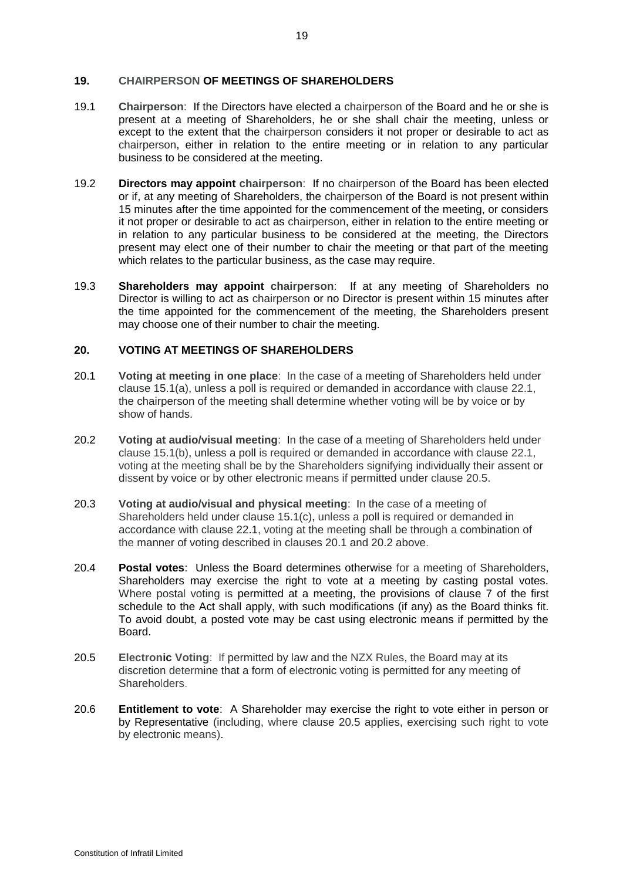#### **19. CHAIRPERSON OF MEETINGS OF SHAREHOLDERS**

- 19.1 **Chairperson**: If the Directors have elected a chairperson of the Board and he or she is present at a meeting of Shareholders, he or she shall chair the meeting, unless or except to the extent that the chairperson considers it not proper or desirable to act as chairperson, either in relation to the entire meeting or in relation to any particular business to be considered at the meeting.
- 19.2 **Directors may appoint chairperson**: If no chairperson of the Board has been elected or if, at any meeting of Shareholders, the chairperson of the Board is not present within 15 minutes after the time appointed for the commencement of the meeting, or considers it not proper or desirable to act as chairperson, either in relation to the entire meeting or in relation to any particular business to be considered at the meeting, the Directors present may elect one of their number to chair the meeting or that part of the meeting which relates to the particular business, as the case may require.
- 19.3 **Shareholders may appoint chairperson**: If at any meeting of Shareholders no Director is willing to act as chairperson or no Director is present within 15 minutes after the time appointed for the commencement of the meeting, the Shareholders present may choose one of their number to chair the meeting.

# **20. VOTING AT MEETINGS OF SHAREHOLDERS**

- <span id="page-18-1"></span>20.1 **Voting at meeting in one place**: In the case of a meeting of Shareholders held under clause [15.1\(a\),](#page-15-2) unless a poll is required or demanded in accordance with clause [22.1,](#page-19-0) the chairperson of the meeting shall determine whether voting will be by voice or by show of hands.
- <span id="page-18-2"></span>20.2 **Voting at audio/visual meeting**: In the case of a meeting of Shareholders held under clause [15.1\(b\),](#page-15-0) unless a poll is required or demanded in accordance with clause [22.1,](#page-19-0) voting at the meeting shall be by the Shareholders signifying individually their assent or dissent by voice or by other electronic means if permitted under clause [20.5.](#page-18-0)
- 20.3 **Voting at audio/visual and physical meeting**: In the case of a meeting of Shareholders held under clause [15.1\(c\),](#page-15-1) unless a poll is required or demanded in accordance with clause 22.1, voting at the meeting shall be through a combination of the manner of voting described in clauses [20.1](#page-18-1) and [20.2](#page-18-2) above.
- 20.4 **Postal votes**: Unless the Board determines otherwise for a meeting of Shareholders, Shareholders may exercise the right to vote at a meeting by casting postal votes. Where postal voting is permitted at a meeting, the provisions of clause 7 of the first schedule to the Act shall apply, with such modifications (if any) as the Board thinks fit. To avoid doubt, a posted vote may be cast using electronic means if permitted by the **Board**
- <span id="page-18-0"></span>20.5 **Electronic Voting**: If permitted by law and the NZX Rules, the Board may at its discretion determine that a form of electronic voting is permitted for any meeting of Shareholders.
- 20.6 **Entitlement to vote**: A Shareholder may exercise the right to vote either in person or by Representative (including, where clause [20.5](#page-18-0) applies, exercising such right to vote by electronic means).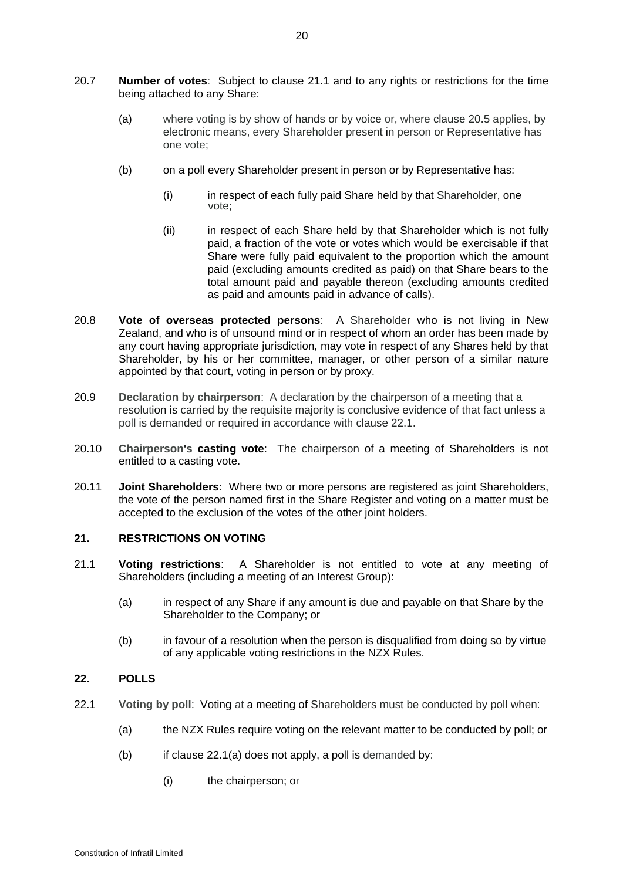- 20.7 **Number of votes**: Subject to clause [21.1](#page-19-1) and to any rights or restrictions for the time being attached to any Share:
	- (a) where voting is by show of hands or by voice or, where clause [20.5](#page-18-0) applies, by electronic means, every Shareholder present in person or Representative has one vote;
	- (b) on a poll every Shareholder present in person or by Representative has:
		- (i) in respect of each fully paid Share held by that Shareholder, one vote;
		- (ii) in respect of each Share held by that Shareholder which is not fully paid, a fraction of the vote or votes which would be exercisable if that Share were fully paid equivalent to the proportion which the amount paid (excluding amounts credited as paid) on that Share bears to the total amount paid and payable thereon (excluding amounts credited as paid and amounts paid in advance of calls).
- 20.8 **Vote of overseas protected persons**: A Shareholder who is not living in New Zealand, and who is of unsound mind or in respect of whom an order has been made by any court having appropriate jurisdiction, may vote in respect of any Shares held by that Shareholder, by his or her committee, manager, or other person of a similar nature appointed by that court, voting in person or by proxy.
- 20.9 **Declaration by chairperson**: A declaration by the chairperson of a meeting that a resolution is carried by the requisite majority is conclusive evidence of that fact unless a poll is demanded or required in accordance with clause [22.1.](#page-19-0)
- 20.10 **Chairperson's casting vote**: The chairperson of a meeting of Shareholders is not entitled to a casting vote.
- 20.11 **Joint Shareholders**: Where two or more persons are registered as joint Shareholders, the vote of the person named first in the Share Register and voting on a matter must be accepted to the exclusion of the votes of the other joint holders.

# **21. RESTRICTIONS ON VOTING**

- <span id="page-19-1"></span>21.1 **Voting restrictions**: A Shareholder is not entitled to vote at any meeting of Shareholders (including a meeting of an Interest Group):
	- (a) in respect of any Share if any amount is due and payable on that Share by the Shareholder to the Company; or
	- (b) in favour of a resolution when the person is disqualified from doing so by virtue of any applicable voting restrictions in the NZX Rules.

# <span id="page-19-0"></span>**22. POLLS**

- <span id="page-19-2"></span>22.1 **Voting by poll**: Voting at a meeting of Shareholders must be conducted by poll when:
	- (a) the NZX Rules require voting on the relevant matter to be conducted by poll; or
	- (b) if clause  $22.1(a)$  does not apply, a poll is demanded by:
		- (i) the chairperson; or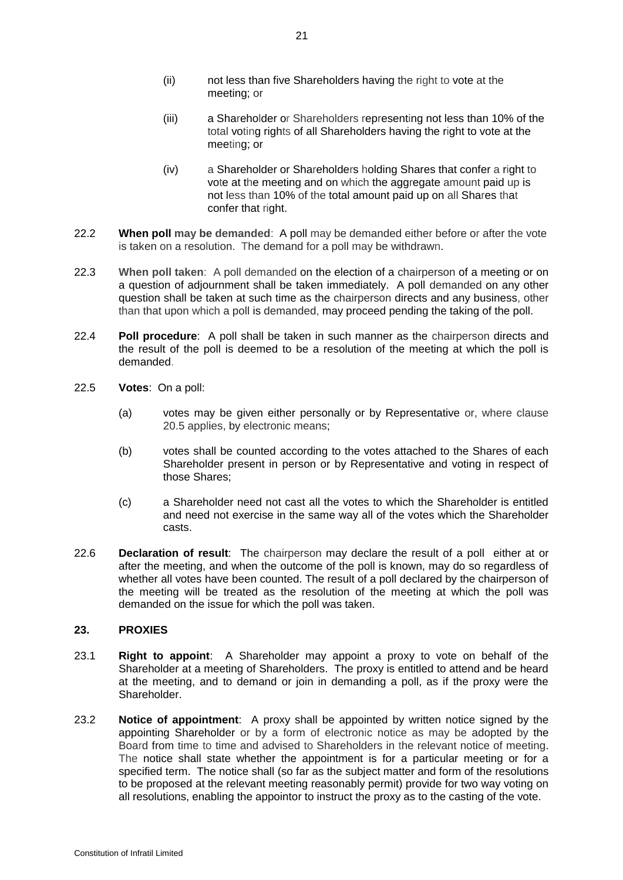- (ii) not less than five Shareholders having the right to vote at the meeting; or
- (iii) a Shareholder or Shareholders representing not less than 10% of the total voting rights of all Shareholders having the right to vote at the meeting; or
- (iv) a Shareholder or Shareholders holding Shares that confer a right to vote at the meeting and on which the aggregate amount paid up is not less than 10% of the total amount paid up on all Shares that confer that right.
- 22.2 **When poll may be demanded**: A poll may be demanded either before or after the vote is taken on a resolution. The demand for a poll may be withdrawn.
- 22.3 **When poll taken**: A poll demanded on the election of a chairperson of a meeting or on a question of adjournment shall be taken immediately. A poll demanded on any other question shall be taken at such time as the chairperson directs and any business, other than that upon which a poll is demanded, may proceed pending the taking of the poll.
- <span id="page-20-1"></span>22.4 **Poll procedure**: A poll shall be taken in such manner as the chairperson directs and the result of the poll is deemed to be a resolution of the meeting at which the poll is demanded.
- 22.5 **Votes**: On a poll:
	- (a) votes may be given either personally or by Representative or, where clause [20.5](#page-18-0) applies, by electronic means;
	- (b) votes shall be counted according to the votes attached to the Shares of each Shareholder present in person or by Representative and voting in respect of those Shares;
	- (c) a Shareholder need not cast all the votes to which the Shareholder is entitled and need not exercise in the same way all of the votes which the Shareholder casts.
- 22.6 **Declaration of result**: The chairperson may declare the result of a poll either at or after the meeting, and when the outcome of the poll is known, may do so regardless of whether all votes have been counted. The result of a poll declared by the chairperson of the meeting will be treated as the resolution of the meeting at which the poll was demanded on the issue for which the poll was taken.

# <span id="page-20-0"></span>**23. PROXIES**

- 23.1 **Right to appoint**: A Shareholder may appoint a proxy to vote on behalf of the Shareholder at a meeting of Shareholders. The proxy is entitled to attend and be heard at the meeting, and to demand or join in demanding a poll, as if the proxy were the Shareholder.
- 23.2 **Notice of appointment**: A proxy shall be appointed by written notice signed by the appointing Shareholder or by a form of electronic notice as may be adopted by the Board from time to time and advised to Shareholders in the relevant notice of meeting. The notice shall state whether the appointment is for a particular meeting or for a specified term. The notice shall (so far as the subject matter and form of the resolutions to be proposed at the relevant meeting reasonably permit) provide for two way voting on all resolutions, enabling the appointor to instruct the proxy as to the casting of the vote.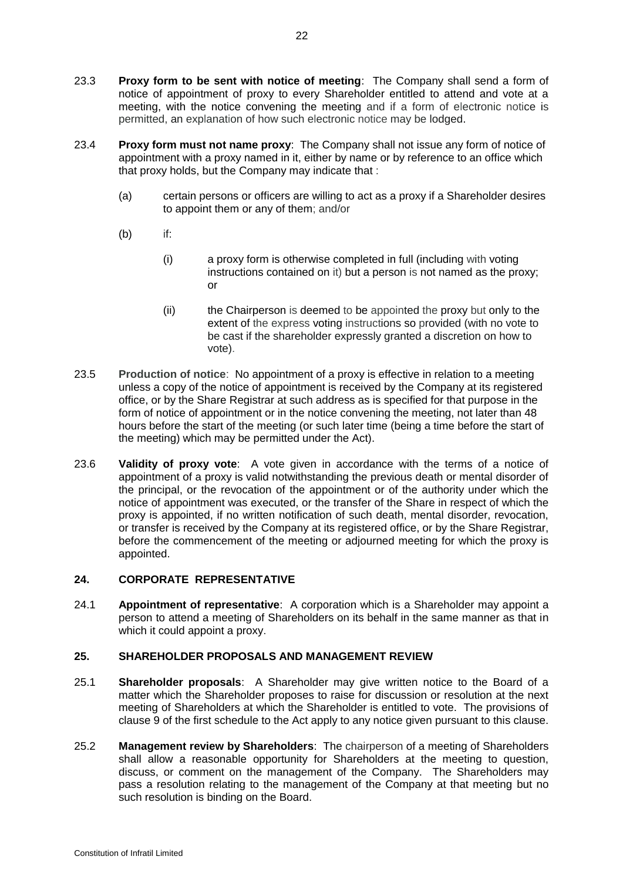- 23.3 **Proxy form to be sent with notice of meeting**: The Company shall send a form of notice of appointment of proxy to every Shareholder entitled to attend and vote at a meeting, with the notice convening the meeting and if a form of electronic notice is permitted, an explanation of how such electronic notice may be lodged.
- 23.4 **Proxy form must not name proxy**: The Company shall not issue any form of notice of appointment with a proxy named in it, either by name or by reference to an office which that proxy holds, but the Company may indicate that :
	- (a) certain persons or officers are willing to act as a proxy if a Shareholder desires to appoint them or any of them; and/or
	- (b) if:
		- (i) a proxy form is otherwise completed in full (including with voting instructions contained on it) but a person is not named as the proxy; or
		- (ii) the Chairperson is deemed to be appointed the proxy but only to the extent of the express voting instructions so provided (with no vote to be cast if the shareholder expressly granted a discretion on how to vote).
- 23.5 **Production of notice**: No appointment of a proxy is effective in relation to a meeting unless a copy of the notice of appointment is received by the Company at its registered office, or by the Share Registrar at such address as is specified for that purpose in the form of notice of appointment or in the notice convening the meeting, not later than 48 hours before the start of the meeting (or such later time (being a time before the start of the meeting) which may be permitted under the Act).
- 23.6 **Validity of proxy vote**: A vote given in accordance with the terms of a notice of appointment of a proxy is valid notwithstanding the previous death or mental disorder of the principal, or the revocation of the appointment or of the authority under which the notice of appointment was executed, or the transfer of the Share in respect of which the proxy is appointed, if no written notification of such death, mental disorder, revocation, or transfer is received by the Company at its registered office, or by the Share Registrar, before the commencement of the meeting or adjourned meeting for which the proxy is appointed.

# <span id="page-21-0"></span>**24. CORPORATE REPRESENTATIVE**

24.1 **Appointment of representative**: A corporation which is a Shareholder may appoint a person to attend a meeting of Shareholders on its behalf in the same manner as that in which it could appoint a proxy.

#### **25. SHAREHOLDER PROPOSALS AND MANAGEMENT REVIEW**

- 25.1 **Shareholder proposals**: A Shareholder may give written notice to the Board of a matter which the Shareholder proposes to raise for discussion or resolution at the next meeting of Shareholders at which the Shareholder is entitled to vote. The provisions of clause 9 of the first schedule to the Act apply to any notice given pursuant to this clause.
- 25.2 **Management review by Shareholders**: The chairperson of a meeting of Shareholders shall allow a reasonable opportunity for Shareholders at the meeting to question, discuss, or comment on the management of the Company. The Shareholders may pass a resolution relating to the management of the Company at that meeting but no such resolution is binding on the Board.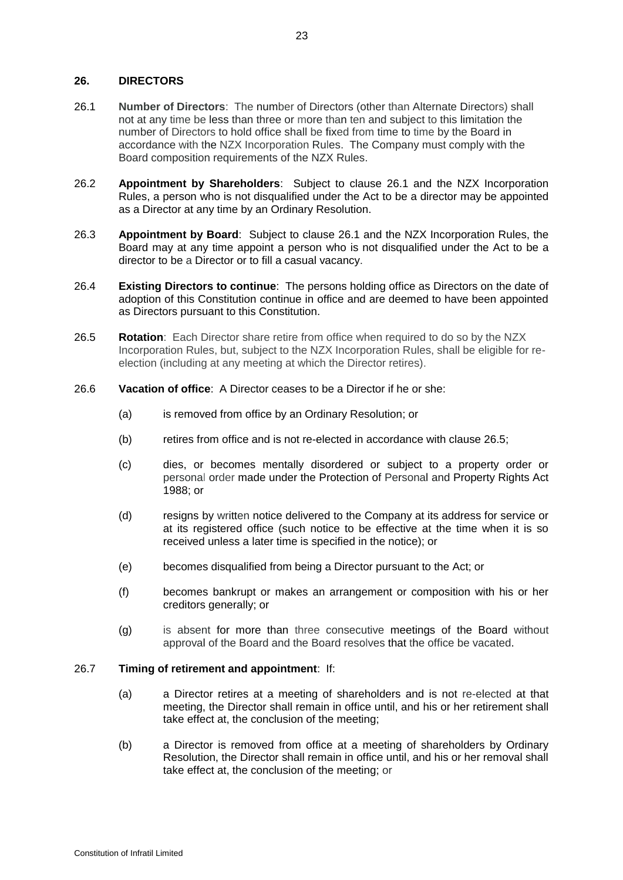# **26. DIRECTORS**

- <span id="page-22-0"></span>26.1 **Number of Directors**: The number of Directors (other than Alternate Directors) shall not at any time be less than three or more than ten and subject to this limitation the number of Directors to hold office shall be fixed from time to time by the Board in accordance with the NZX Incorporation Rules. The Company must comply with the Board composition requirements of the NZX Rules.
- 26.2 **Appointment by Shareholders**: Subject to clause [26.1](#page-22-0) and the NZX Incorporation Rules, a person who is not disqualified under the Act to be a director may be appointed as a Director at any time by an Ordinary Resolution.
- 26.3 **Appointment by Board**: Subject to clause [26.1](#page-22-0) and the NZX Incorporation Rules, the Board may at any time appoint a person who is not disqualified under the Act to be a director to be a Director or to fill a casual vacancy.
- 26.4 **Existing Directors to continue**: The persons holding office as Directors on the date of adoption of this Constitution continue in office and are deemed to have been appointed as Directors pursuant to this Constitution.
- <span id="page-22-1"></span>26.5 **Rotation**: Each Director share retire from office when required to do so by the NZX Incorporation Rules, but, subject to the NZX Incorporation Rules, shall be eligible for reelection (including at any meeting at which the Director retires).
- 26.6 **Vacation of office**: A Director ceases to be a Director if he or she:
	- (a) is removed from office by an Ordinary Resolution; or
	- (b) retires from office and is not re-elected in accordance with clause [26.5;](#page-22-1)
	- (c) dies, or becomes mentally disordered or subject to a property order or personal order made under the Protection of Personal and Property Rights Act 1988; or
	- (d) resigns by written notice delivered to the Company at its address for service or at its registered office (such notice to be effective at the time when it is so received unless a later time is specified in the notice); or
	- (e) becomes disqualified from being a Director pursuant to the Act; or
	- (f) becomes bankrupt or makes an arrangement or composition with his or her creditors generally; or
	- (g) is absent for more than three consecutive meetings of the Board without approval of the Board and the Board resolves that the office be vacated.

# 26.7 **Timing of retirement and appointment**: If:

- (a) a Director retires at a meeting of shareholders and is not re-elected at that meeting, the Director shall remain in office until, and his or her retirement shall take effect at, the conclusion of the meeting;
- (b) a Director is removed from office at a meeting of shareholders by Ordinary Resolution, the Director shall remain in office until, and his or her removal shall take effect at, the conclusion of the meeting; or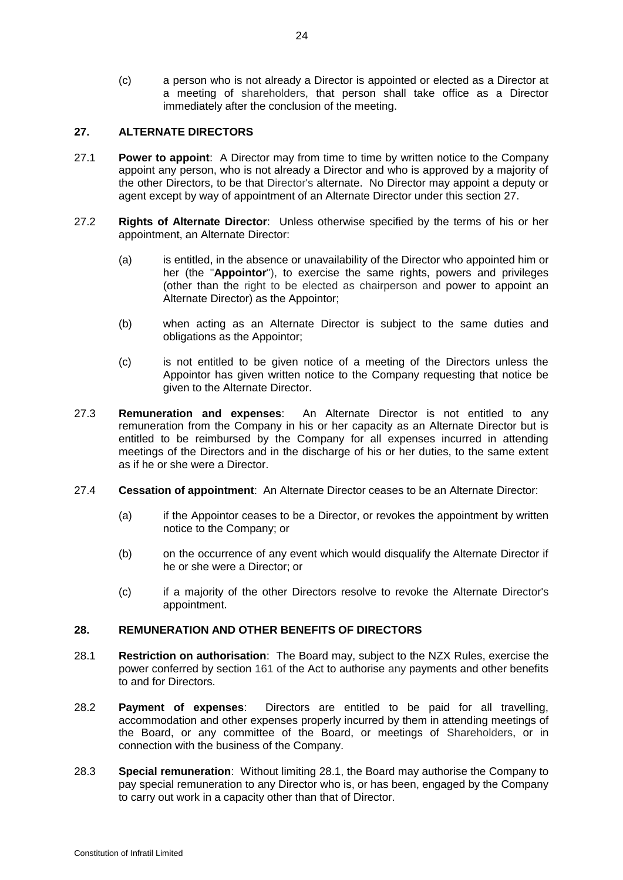(c) a person who is not already a Director is appointed or elected as a Director at a meeting of shareholders, that person shall take office as a Director immediately after the conclusion of the meeting.

# <span id="page-23-0"></span>**27. ALTERNATE DIRECTORS**

- 27.1 **Power to appoint**: A Director may from time to time by written notice to the Company appoint any person, who is not already a Director and who is approved by a majority of the other Directors, to be that Director's alternate. No Director may appoint a deputy or agent except by way of appointment of an Alternate Director under this section [27.](#page-23-0)
- 27.2 **Rights of Alternate Director**: Unless otherwise specified by the terms of his or her appointment, an Alternate Director:
	- (a) is entitled, in the absence or unavailability of the Director who appointed him or her (the "**Appointor**"), to exercise the same rights, powers and privileges (other than the right to be elected as chairperson and power to appoint an Alternate Director) as the Appointor;
	- (b) when acting as an Alternate Director is subject to the same duties and obligations as the Appointor;
	- (c) is not entitled to be given notice of a meeting of the Directors unless the Appointor has given written notice to the Company requesting that notice be given to the Alternate Director.
- 27.3 **Remuneration and expenses**: An Alternate Director is not entitled to any remuneration from the Company in his or her capacity as an Alternate Director but is entitled to be reimbursed by the Company for all expenses incurred in attending meetings of the Directors and in the discharge of his or her duties, to the same extent as if he or she were a Director.
- 27.4 **Cessation of appointment**: An Alternate Director ceases to be an Alternate Director:
	- (a) if the Appointor ceases to be a Director, or revokes the appointment by written notice to the Company; or
	- (b) on the occurrence of any event which would disqualify the Alternate Director if he or she were a Director; or
	- (c) if a majority of the other Directors resolve to revoke the Alternate Director's appointment.

# **28. REMUNERATION AND OTHER BENEFITS OF DIRECTORS**

- <span id="page-23-1"></span>28.1 **Restriction on authorisation**: The Board may, subject to the NZX Rules, exercise the power conferred by section 161 of the Act to authorise any payments and other benefits to and for Directors.
- 28.2 **Payment of expenses**: Directors are entitled to be paid for all travelling, accommodation and other expenses properly incurred by them in attending meetings of the Board, or any committee of the Board, or meetings of Shareholders, or in connection with the business of the Company.
- 28.3 **Special remuneration**: Without limiting [28.1,](#page-23-1) the Board may authorise the Company to pay special remuneration to any Director who is, or has been, engaged by the Company to carry out work in a capacity other than that of Director.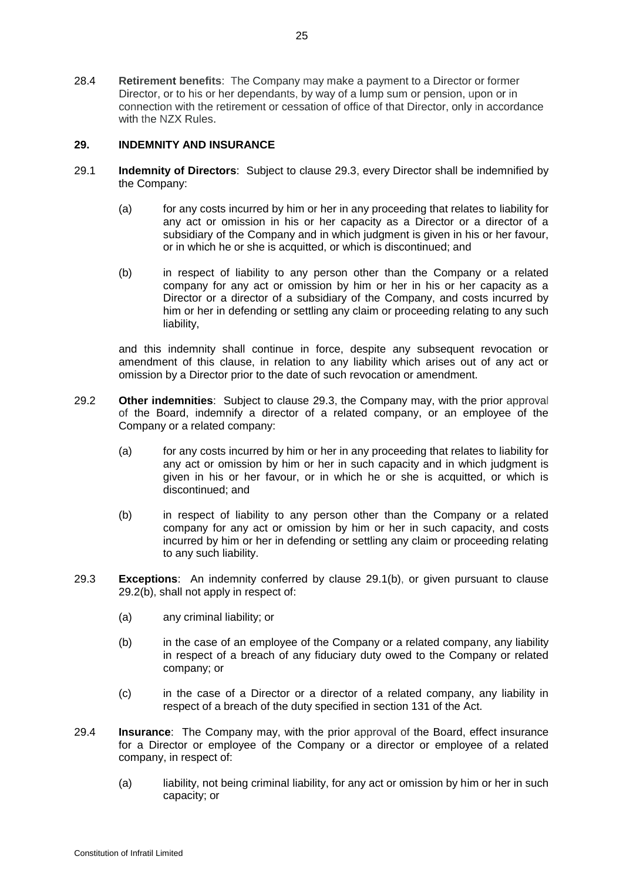28.4 **Retirement benefits**: The Company may make a payment to a Director or former Director, or to his or her dependants, by way of a lump sum or pension, upon or in connection with the retirement or cessation of office of that Director, only in accordance with the NZX Rules.

# <span id="page-24-3"></span>**29. INDEMNITY AND INSURANCE**

- <span id="page-24-1"></span>29.1 **Indemnity of Directors**: Subject to clause [29.3,](#page-24-0) every Director shall be indemnified by the Company:
	- (a) for any costs incurred by him or her in any proceeding that relates to liability for any act or omission in his or her capacity as a Director or a director of a subsidiary of the Company and in which judgment is given in his or her favour, or in which he or she is acquitted, or which is discontinued; and
	- (b) in respect of liability to any person other than the Company or a related company for any act or omission by him or her in his or her capacity as a Director or a director of a subsidiary of the Company, and costs incurred by him or her in defending or settling any claim or proceeding relating to any such liability,

and this indemnity shall continue in force, despite any subsequent revocation or amendment of this clause, in relation to any liability which arises out of any act or omission by a Director prior to the date of such revocation or amendment.

- 29.2 **Other indemnities**: Subject to clause [29.3,](#page-24-0) the Company may, with the prior approval of the Board, indemnify a director of a related company, or an employee of the Company or a related company:
	- (a) for any costs incurred by him or her in any proceeding that relates to liability for any act or omission by him or her in such capacity and in which judgment is given in his or her favour, or in which he or she is acquitted, or which is discontinued; and
	- (b) in respect of liability to any person other than the Company or a related company for any act or omission by him or her in such capacity, and costs incurred by him or her in defending or settling any claim or proceeding relating to any such liability.
- <span id="page-24-2"></span><span id="page-24-0"></span>29.3 **Exceptions**: An indemnity conferred by clause [29.1\(b\),](#page-24-1) or given pursuant to clause [29.2\(b\),](#page-24-2) shall not apply in respect of:
	- (a) any criminal liability; or
	- (b) in the case of an employee of the Company or a related company, any liability in respect of a breach of any fiduciary duty owed to the Company or related company; or
	- (c) in the case of a Director or a director of a related company, any liability in respect of a breach of the duty specified in section 131 of the Act.
- 29.4 **Insurance**: The Company may, with the prior approval of the Board, effect insurance for a Director or employee of the Company or a director or employee of a related company, in respect of:
	- (a) liability, not being criminal liability, for any act or omission by him or her in such capacity; or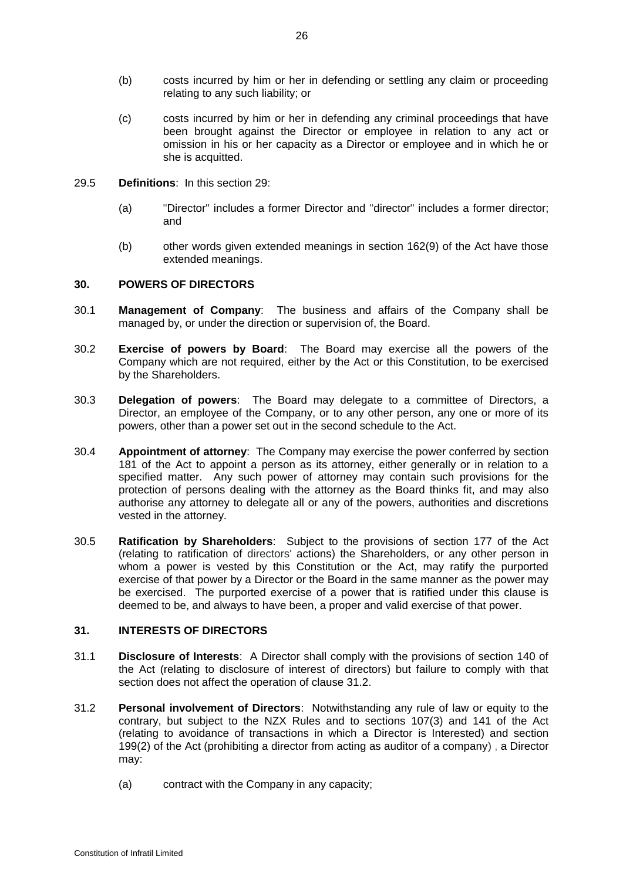- (b) costs incurred by him or her in defending or settling any claim or proceeding relating to any such liability; or
- (c) costs incurred by him or her in defending any criminal proceedings that have been brought against the Director or employee in relation to any act or omission in his or her capacity as a Director or employee and in which he or she is acquitted.
- 29.5 **Definitions**: In this section [29:](#page-24-3)
	- (a) "Director" includes a former Director and "director" includes a former director; and
	- (b) other words given extended meanings in section 162(9) of the Act have those extended meanings.

# **30. POWERS OF DIRECTORS**

- 30.1 **Management of Company**: The business and affairs of the Company shall be managed by, or under the direction or supervision of, the Board.
- 30.2 **Exercise of powers by Board**: The Board may exercise all the powers of the Company which are not required, either by the Act or this Constitution, to be exercised by the Shareholders.
- 30.3 **Delegation of powers**: The Board may delegate to a committee of Directors, a Director, an employee of the Company, or to any other person, any one or more of its powers, other than a power set out in the second schedule to the Act.
- 30.4 **Appointment of attorney**: The Company may exercise the power conferred by section 181 of the Act to appoint a person as its attorney, either generally or in relation to a specified matter. Any such power of attorney may contain such provisions for the protection of persons dealing with the attorney as the Board thinks fit, and may also authorise any attorney to delegate all or any of the powers, authorities and discretions vested in the attorney.
- 30.5 **Ratification by Shareholders**: Subject to the provisions of section 177 of the Act (relating to ratification of directors' actions) the Shareholders, or any other person in whom a power is vested by this Constitution or the Act, may ratify the purported exercise of that power by a Director or the Board in the same manner as the power may be exercised. The purported exercise of a power that is ratified under this clause is deemed to be, and always to have been, a proper and valid exercise of that power.

# **31. INTERESTS OF DIRECTORS**

- 31.1 **Disclosure of Interests**: A Director shall comply with the provisions of section 140 of the Act (relating to disclosure of interest of directors) but failure to comply with that section does not affect the operation of clause [31.2.](#page-25-0)
- <span id="page-25-0"></span>31.2 **Personal involvement of Directors**: Notwithstanding any rule of law or equity to the contrary, but subject to the NZX Rules and to sections 107(3) and 141 of the Act (relating to avoidance of transactions in which a Director is Interested) and section 199(2) of the Act (prohibiting a director from acting as auditor of a company) , a Director may:
	- (a) contract with the Company in any capacity;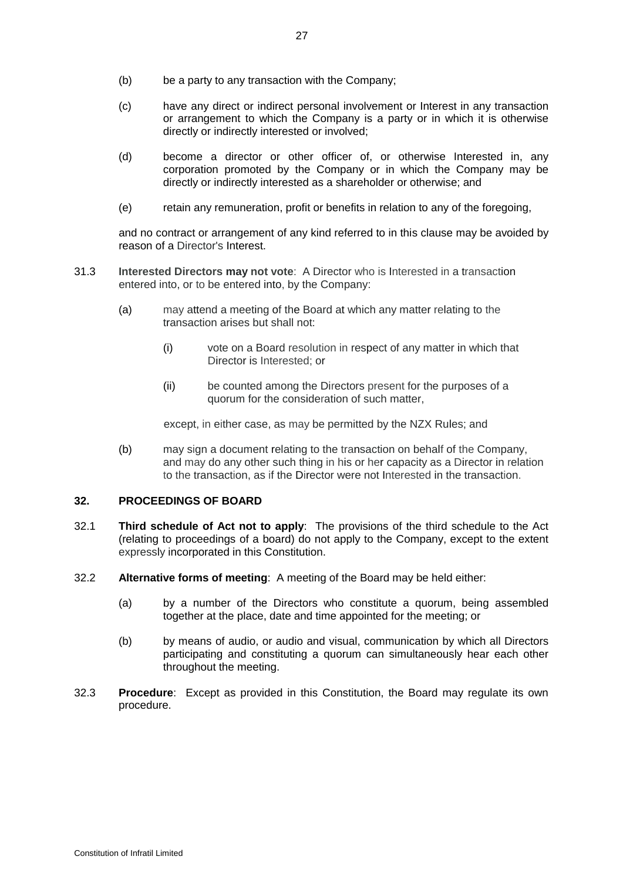- (b) be a party to any transaction with the Company;
- (c) have any direct or indirect personal involvement or Interest in any transaction or arrangement to which the Company is a party or in which it is otherwise directly or indirectly interested or involved;
- (d) become a director or other officer of, or otherwise Interested in, any corporation promoted by the Company or in which the Company may be directly or indirectly interested as a shareholder or otherwise; and
- (e) retain any remuneration, profit or benefits in relation to any of the foregoing,

and no contract or arrangement of any kind referred to in this clause may be avoided by reason of a Director's Interest.

- 31.3 **Interested Directors may not vote**: A Director who is Interested in a transaction entered into, or to be entered into, by the Company:
	- (a) may attend a meeting of the Board at which any matter relating to the transaction arises but shall not:
		- (i) vote on a Board resolution in respect of any matter in which that Director is Interested; or
		- (ii) be counted among the Directors present for the purposes of a quorum for the consideration of such matter,

except, in either case, as may be permitted by the NZX Rules; and

(b) may sign a document relating to the transaction on behalf of the Company, and may do any other such thing in his or her capacity as a Director in relation to the transaction, as if the Director were not Interested in the transaction.

# **32. PROCEEDINGS OF BOARD**

- 32.1 **Third schedule of Act not to apply**: The provisions of the third schedule to the Act (relating to proceedings of a board) do not apply to the Company, except to the extent expressly incorporated in this Constitution.
- 32.2 **Alternative forms of meeting**: A meeting of the Board may be held either:
	- (a) by a number of the Directors who constitute a quorum, being assembled together at the place, date and time appointed for the meeting; or
	- (b) by means of audio, or audio and visual, communication by which all Directors participating and constituting a quorum can simultaneously hear each other throughout the meeting.
- <span id="page-26-0"></span>32.3 **Procedure**: Except as provided in this Constitution, the Board may regulate its own procedure.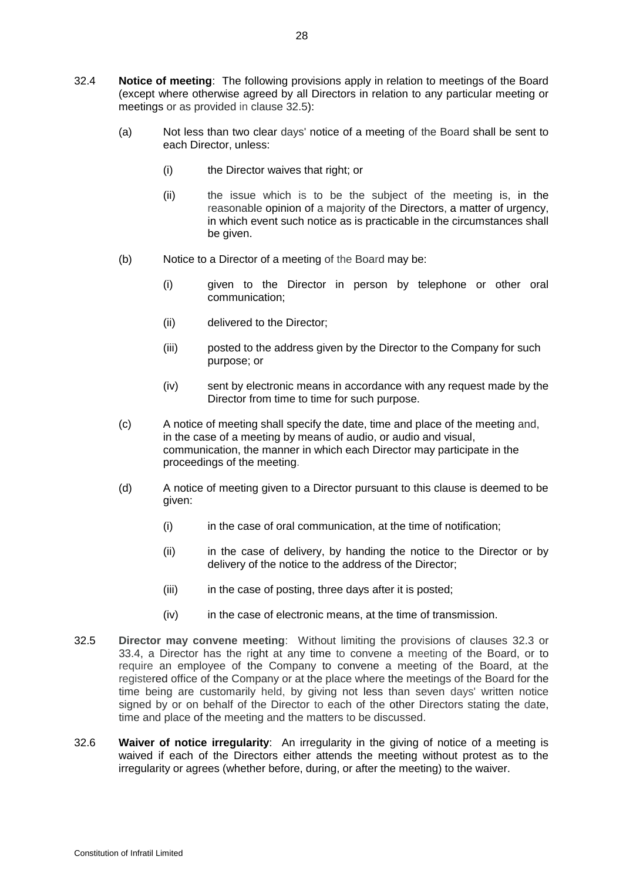- 32.4 **Notice of meeting**: The following provisions apply in relation to meetings of the Board (except where otherwise agreed by all Directors in relation to any particular meeting or meetings or as provided in clause [32.5\)](#page-27-0):
	- (a) Not less than two clear days' notice of a meeting of the Board shall be sent to each Director, unless:
		- (i) the Director waives that right; or
		- (ii) the issue which is to be the subject of the meeting is, in the reasonable opinion of a majority of the Directors, a matter of urgency, in which event such notice as is practicable in the circumstances shall be given.
	- (b) Notice to a Director of a meeting of the Board may be:
		- (i) given to the Director in person by telephone or other oral communication;
		- (ii) delivered to the Director;
		- (iii) posted to the address given by the Director to the Company for such purpose; or
		- (iv) sent by electronic means in accordance with any request made by the Director from time to time for such purpose.
	- (c) A notice of meeting shall specify the date, time and place of the meeting and, in the case of a meeting by means of audio, or audio and visual, communication, the manner in which each Director may participate in the proceedings of the meeting.
	- (d) A notice of meeting given to a Director pursuant to this clause is deemed to be given:
		- (i) in the case of oral communication, at the time of notification;
		- (ii) in the case of delivery, by handing the notice to the Director or by delivery of the notice to the address of the Director;
		- (iii) in the case of posting, three days after it is posted;
		- (iv) in the case of electronic means, at the time of transmission.
- <span id="page-27-0"></span>32.5 **Director may convene meeting**: Without limiting the provisions of clauses [32.3](#page-26-0) or 33.4, a Director has the right at any time to convene a meeting of the Board, or to require an employee of the Company to convene a meeting of the Board, at the registered office of the Company or at the place where the meetings of the Board for the time being are customarily held, by giving not less than seven days' written notice signed by or on behalf of the Director to each of the other Directors stating the date, time and place of the meeting and the matters to be discussed.
- 32.6 **Waiver of notice irregularity**: An irregularity in the giving of notice of a meeting is waived if each of the Directors either attends the meeting without protest as to the irregularity or agrees (whether before, during, or after the meeting) to the waiver.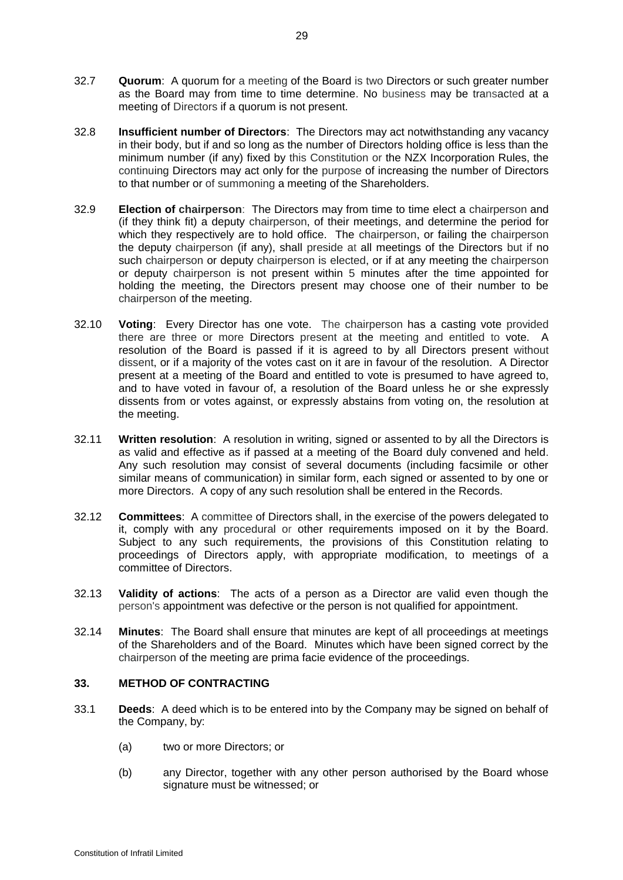- 32.7 **Quorum**: A quorum for a meeting of the Board is two Directors or such greater number as the Board may from time to time determine. No business may be transacted at a meeting of Directors if a quorum is not present.
- 32.8 **Insufficient number of Directors**: The Directors may act notwithstanding any vacancy in their body, but if and so long as the number of Directors holding office is less than the minimum number (if any) fixed by this Constitution or the NZX Incorporation Rules, the continuing Directors may act only for the purpose of increasing the number of Directors to that number or of summoning a meeting of the Shareholders.
- 32.9 **Election of chairperson**: The Directors may from time to time elect a chairperson and (if they think fit) a deputy chairperson, of their meetings, and determine the period for which they respectively are to hold office. The chairperson, or failing the chairperson the deputy chairperson (if any), shall preside at all meetings of the Directors but if no such chairperson or deputy chairperson is elected, or if at any meeting the chairperson or deputy chairperson is not present within 5 minutes after the time appointed for holding the meeting, the Directors present may choose one of their number to be chairperson of the meeting.
- 32.10 **Voting**: Every Director has one vote. The chairperson has a casting vote provided there are three or more Directors present at the meeting and entitled to vote. A resolution of the Board is passed if it is agreed to by all Directors present without dissent, or if a majority of the votes cast on it are in favour of the resolution. A Director present at a meeting of the Board and entitled to vote is presumed to have agreed to, and to have voted in favour of, a resolution of the Board unless he or she expressly dissents from or votes against, or expressly abstains from voting on, the resolution at the meeting.
- 32.11 **Written resolution**: A resolution in writing, signed or assented to by all the Directors is as valid and effective as if passed at a meeting of the Board duly convened and held. Any such resolution may consist of several documents (including facsimile or other similar means of communication) in similar form, each signed or assented to by one or more Directors. A copy of any such resolution shall be entered in the Records.
- 32.12 **Committees**: A committee of Directors shall, in the exercise of the powers delegated to it, comply with any procedural or other requirements imposed on it by the Board. Subject to any such requirements, the provisions of this Constitution relating to proceedings of Directors apply, with appropriate modification, to meetings of a committee of Directors.
- 32.13 **Validity of actions**: The acts of a person as a Director are valid even though the person's appointment was defective or the person is not qualified for appointment.
- 32.14 **Minutes**: The Board shall ensure that minutes are kept of all proceedings at meetings of the Shareholders and of the Board. Minutes which have been signed correct by the chairperson of the meeting are prima facie evidence of the proceedings.

# **33. METHOD OF CONTRACTING**

- 33.1 **Deeds**: A deed which is to be entered into by the Company may be signed on behalf of the Company, by:
	- (a) two or more Directors; or
	- (b) any Director, together with any other person authorised by the Board whose signature must be witnessed; or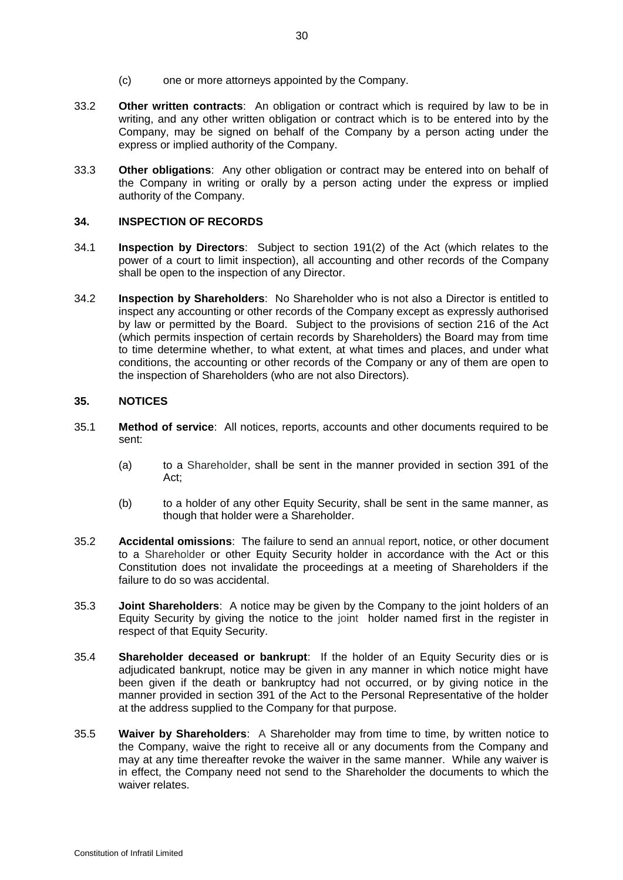- (c) one or more attorneys appointed by the Company.
- 33.2 **Other written contracts**: An obligation or contract which is required by law to be in writing, and any other written obligation or contract which is to be entered into by the Company, may be signed on behalf of the Company by a person acting under the express or implied authority of the Company.
- 33.3 **Other obligations**: Any other obligation or contract may be entered into on behalf of the Company in writing or orally by a person acting under the express or implied authority of the Company.

#### **34. INSPECTION OF RECORDS**

- 34.1 **Inspection by Directors**: Subject to section 191(2) of the Act (which relates to the power of a court to limit inspection), all accounting and other records of the Company shall be open to the inspection of any Director.
- 34.2 **Inspection by Shareholders**: No Shareholder who is not also a Director is entitled to inspect any accounting or other records of the Company except as expressly authorised by law or permitted by the Board. Subject to the provisions of section 216 of the Act (which permits inspection of certain records by Shareholders) the Board may from time to time determine whether, to what extent, at what times and places, and under what conditions, the accounting or other records of the Company or any of them are open to the inspection of Shareholders (who are not also Directors).

#### **35. NOTICES**

- 35.1 **Method of service**: All notices, reports, accounts and other documents required to be sent:
	- (a) to a Shareholder, shall be sent in the manner provided in section 391 of the Act;
	- (b) to a holder of any other Equity Security, shall be sent in the same manner, as though that holder were a Shareholder.
- 35.2 **Accidental omissions**: The failure to send an annual report, notice, or other document to a Shareholder or other Equity Security holder in accordance with the Act or this Constitution does not invalidate the proceedings at a meeting of Shareholders if the failure to do so was accidental.
- 35.3 **Joint Shareholders**: A notice may be given by the Company to the joint holders of an Equity Security by giving the notice to the joint holder named first in the register in respect of that Equity Security.
- 35.4 **Shareholder deceased or bankrupt**: If the holder of an Equity Security dies or is adjudicated bankrupt, notice may be given in any manner in which notice might have been given if the death or bankruptcy had not occurred, or by giving notice in the manner provided in section 391 of the Act to the Personal Representative of the holder at the address supplied to the Company for that purpose.
- 35.5 **Waiver by Shareholders**: A Shareholder may from time to time, by written notice to the Company, waive the right to receive all or any documents from the Company and may at any time thereafter revoke the waiver in the same manner. While any waiver is in effect, the Company need not send to the Shareholder the documents to which the waiver relates.